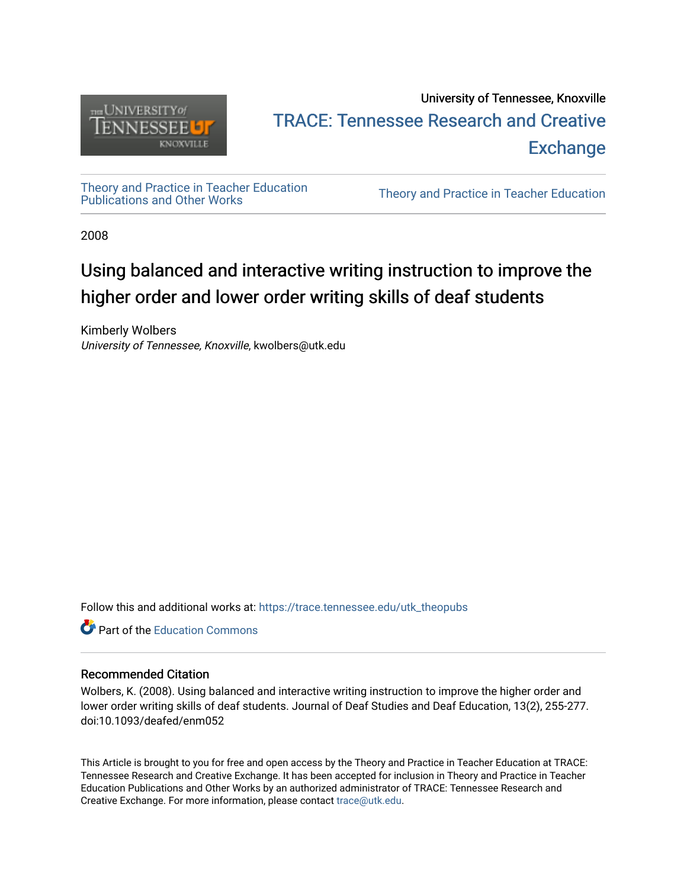

# University of Tennessee, Knoxville TRACE: T[ennessee Research and Cr](https://trace.tennessee.edu/)eative **Exchange**

[Theory and Practice in Teacher Education](https://trace.tennessee.edu/utk_theopubs)

Theory and Practice in Teacher Education

2008

# Using balanced and interactive writing instruction to improve the higher order and lower order writing skills of deaf students

Kimberly Wolbers University of Tennessee, Knoxville, kwolbers@utk.edu

Follow this and additional works at: [https://trace.tennessee.edu/utk\\_theopubs](https://trace.tennessee.edu/utk_theopubs?utm_source=trace.tennessee.edu%2Futk_theopubs%2F4&utm_medium=PDF&utm_campaign=PDFCoverPages)

**C** Part of the [Education Commons](https://network.bepress.com/hgg/discipline/784?utm_source=trace.tennessee.edu%2Futk_theopubs%2F4&utm_medium=PDF&utm_campaign=PDFCoverPages)

### Recommended Citation

Wolbers, K. (2008). Using balanced and interactive writing instruction to improve the higher order and lower order writing skills of deaf students. Journal of Deaf Studies and Deaf Education, 13(2), 255-277. doi:10.1093/deafed/enm052

This Article is brought to you for free and open access by the Theory and Practice in Teacher Education at TRACE: Tennessee Research and Creative Exchange. It has been accepted for inclusion in Theory and Practice in Teacher Education Publications and Other Works by an authorized administrator of TRACE: Tennessee Research and Creative Exchange. For more information, please contact [trace@utk.edu](mailto:trace@utk.edu).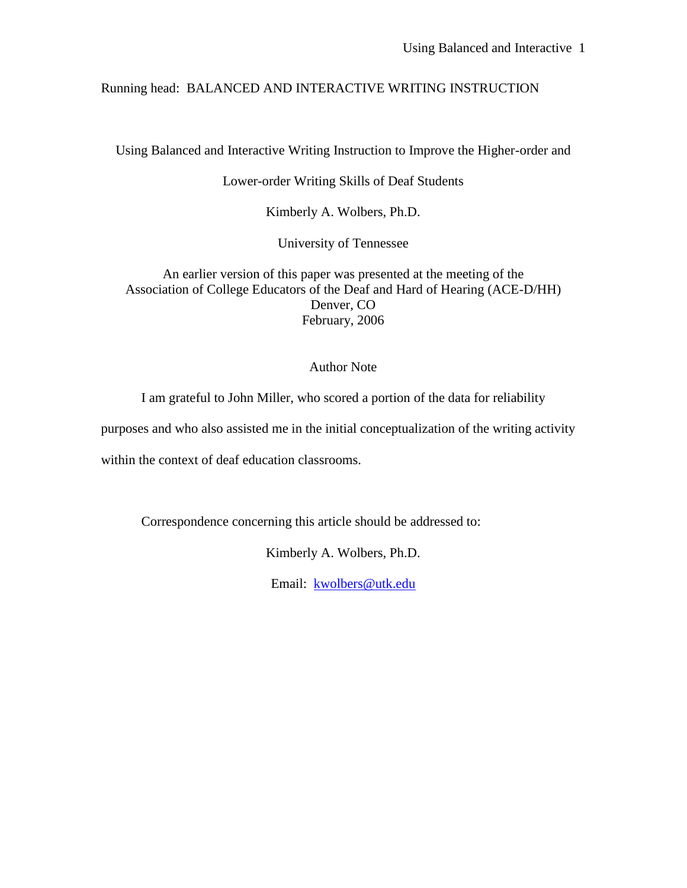## Running head: BALANCED AND INTERACTIVE WRITING INSTRUCTION

Using Balanced and Interactive Writing Instruction to Improve the Higher-order and

Lower-order Writing Skills of Deaf Students

Kimberly A. Wolbers, Ph.D.

University of Tennessee

An earlier version of this paper was presented at the meeting of the Association of College Educators of the Deaf and Hard of Hearing (ACE-D/HH) Denver, CO February, 2006

## Author Note

I am grateful to John Miller, who scored a portion of the data for reliability

purposes and who also assisted me in the initial conceptualization of the writing activity

within the context of deaf education classrooms.

Correspondence concerning this article should be addressed to:

Kimberly A. Wolbers, Ph.D.

Email: [kwolbers@utk.edu](mailto:kwolbers@utk.edu)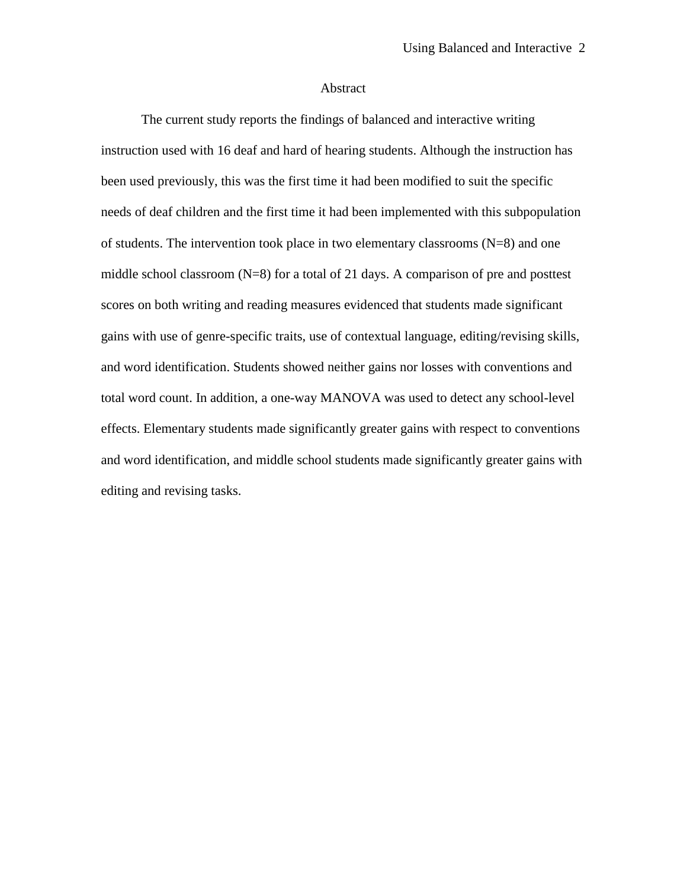### Abstract

The current study reports the findings of balanced and interactive writing instruction used with 16 deaf and hard of hearing students. Although the instruction has been used previously, this was the first time it had been modified to suit the specific needs of deaf children and the first time it had been implemented with this subpopulation of students. The intervention took place in two elementary classrooms (N=8) and one middle school classroom (N=8) for a total of 21 days. A comparison of pre and posttest scores on both writing and reading measures evidenced that students made significant gains with use of genre-specific traits, use of contextual language, editing/revising skills, and word identification. Students showed neither gains nor losses with conventions and total word count. In addition, a one-way MANOVA was used to detect any school-level effects. Elementary students made significantly greater gains with respect to conventions and word identification, and middle school students made significantly greater gains with editing and revising tasks.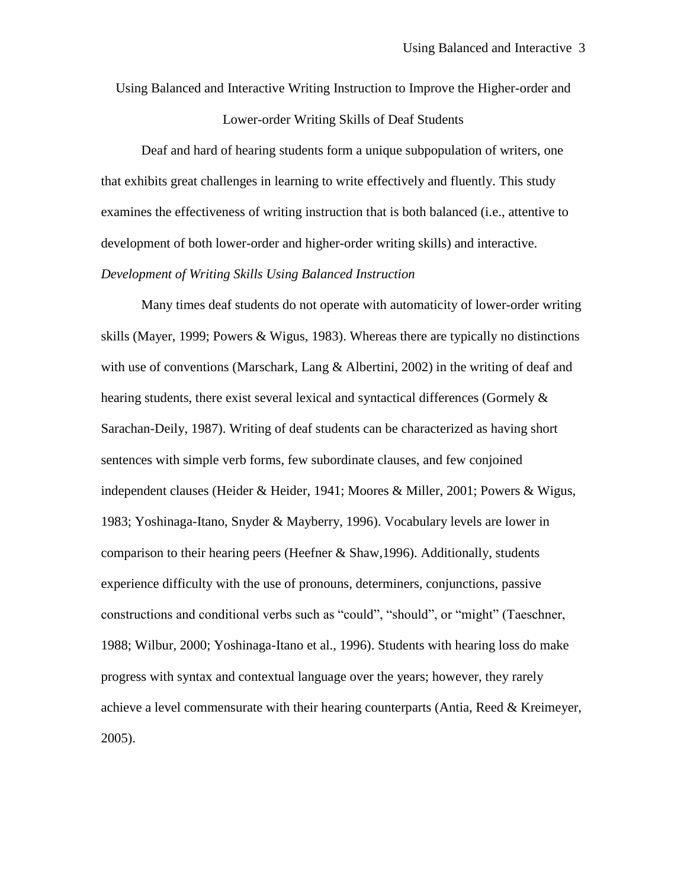Using Balanced and Interactive Writing Instruction to Improve the Higher-order and

Lower-order Writing Skills of Deaf Students

Deaf and hard of hearing students form a unique subpopulation of writers, one that exhibits great challenges in learning to write effectively and fluently. This study examines the effectiveness of writing instruction that is both balanced (i.e., attentive to development of both lower-order and higher-order writing skills) and interactive.

## *Development of Writing Skills Using Balanced Instruction*

Many times deaf students do not operate with automaticity of lower-order writing skills (Mayer, 1999; Powers & Wigus, 1983). Whereas there are typically no distinctions with use of conventions (Marschark, Lang & Albertini, 2002) in the writing of deaf and hearing students, there exist several lexical and syntactical differences (Gormely & Sarachan-Deily, 1987). Writing of deaf students can be characterized as having short sentences with simple verb forms, few subordinate clauses, and few conjoined independent clauses (Heider & Heider, 1941; Moores & Miller, 2001; Powers & Wigus, 1983; Yoshinaga-Itano, Snyder & Mayberry, 1996). Vocabulary levels are lower in comparison to their hearing peers (Heefner & Shaw,1996). Additionally, students experience difficulty with the use of pronouns, determiners, conjunctions, passive constructions and conditional verbs such as "could", "should", or "might" (Taeschner, 1988; Wilbur, 2000; Yoshinaga-Itano et al., 1996). Students with hearing loss do make progress with syntax and contextual language over the years; however, they rarely achieve a level commensurate with their hearing counterparts (Antia, Reed & Kreimeyer, 2005).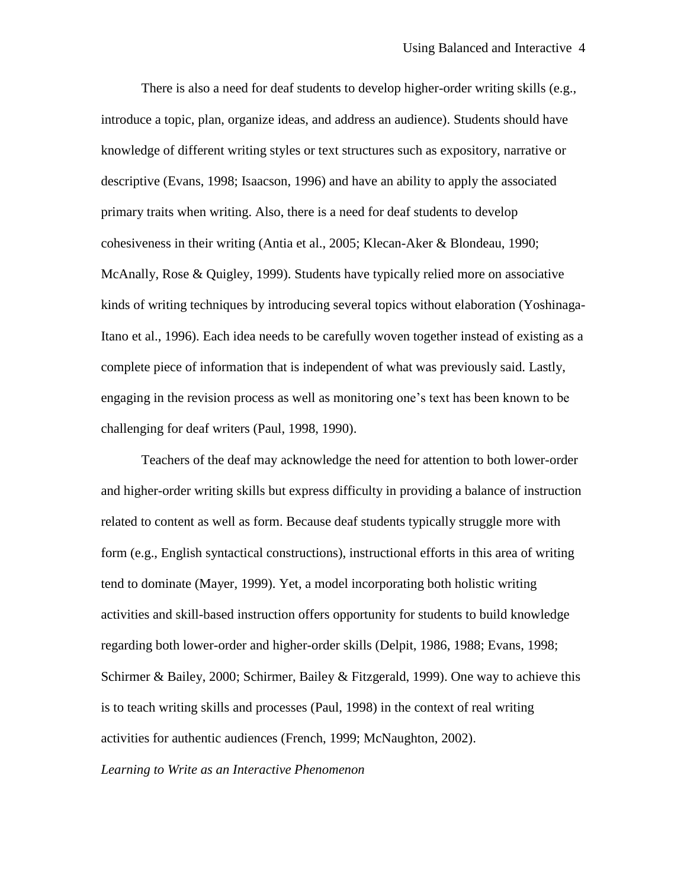There is also a need for deaf students to develop higher-order writing skills (e.g., introduce a topic, plan, organize ideas, and address an audience). Students should have knowledge of different writing styles or text structures such as expository, narrative or descriptive (Evans, 1998; Isaacson, 1996) and have an ability to apply the associated primary traits when writing. Also, there is a need for deaf students to develop cohesiveness in their writing (Antia et al., 2005; Klecan-Aker & Blondeau, 1990; McAnally, Rose & Quigley, 1999). Students have typically relied more on associative kinds of writing techniques by introducing several topics without elaboration (Yoshinaga-Itano et al., 1996). Each idea needs to be carefully woven together instead of existing as a complete piece of information that is independent of what was previously said. Lastly, engaging in the revision process as well as monitoring one's text has been known to be challenging for deaf writers (Paul, 1998, 1990).

Teachers of the deaf may acknowledge the need for attention to both lower-order and higher-order writing skills but express difficulty in providing a balance of instruction related to content as well as form. Because deaf students typically struggle more with form (e.g., English syntactical constructions), instructional efforts in this area of writing tend to dominate (Mayer, 1999). Yet, a model incorporating both holistic writing activities and skill-based instruction offers opportunity for students to build knowledge regarding both lower-order and higher-order skills (Delpit, 1986, 1988; Evans, 1998; Schirmer & Bailey, 2000; Schirmer, Bailey & Fitzgerald, 1999). One way to achieve this is to teach writing skills and processes (Paul, 1998) in the context of real writing activities for authentic audiences (French, 1999; McNaughton, 2002).

#### *Learning to Write as an Interactive Phenomenon*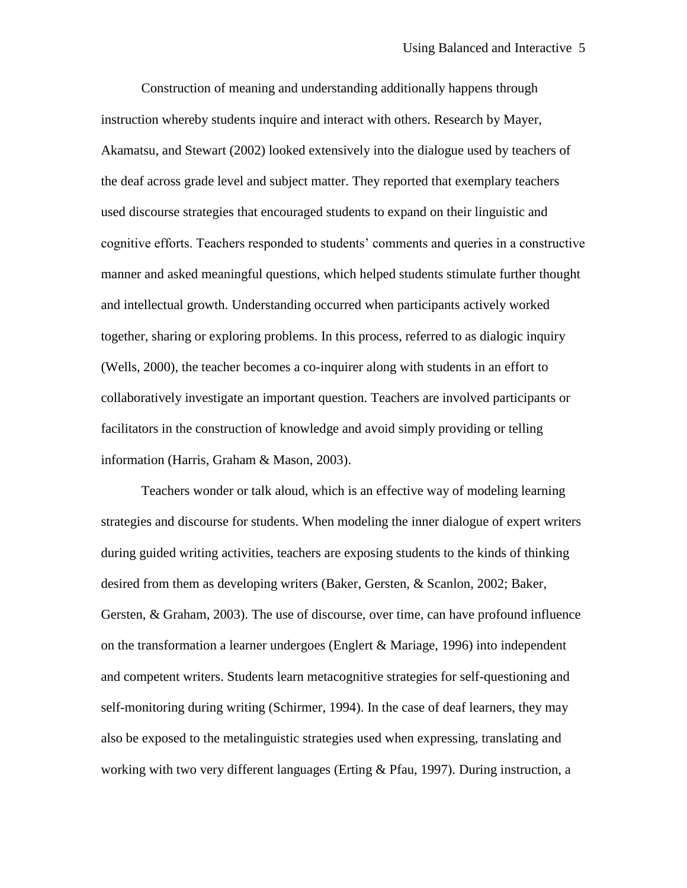Construction of meaning and understanding additionally happens through instruction whereby students inquire and interact with others. Research by Mayer, Akamatsu, and Stewart (2002) looked extensively into the dialogue used by teachers of the deaf across grade level and subject matter. They reported that exemplary teachers used discourse strategies that encouraged students to expand on their linguistic and cognitive efforts. Teachers responded to students' comments and queries in a constructive manner and asked meaningful questions, which helped students stimulate further thought and intellectual growth. Understanding occurred when participants actively worked together, sharing or exploring problems. In this process, referred to as dialogic inquiry (Wells, 2000), the teacher becomes a co-inquirer along with students in an effort to collaboratively investigate an important question. Teachers are involved participants or facilitators in the construction of knowledge and avoid simply providing or telling information (Harris, Graham & Mason, 2003).

Teachers wonder or talk aloud, which is an effective way of modeling learning strategies and discourse for students. When modeling the inner dialogue of expert writers during guided writing activities, teachers are exposing students to the kinds of thinking desired from them as developing writers (Baker, Gersten, & Scanlon, 2002; Baker, Gersten, & Graham, 2003). The use of discourse, over time, can have profound influence on the transformation a learner undergoes (Englert & Mariage, 1996) into independent and competent writers. Students learn metacognitive strategies for self-questioning and self-monitoring during writing (Schirmer, 1994). In the case of deaf learners, they may also be exposed to the metalinguistic strategies used when expressing, translating and working with two very different languages (Erting & Pfau, 1997). During instruction, a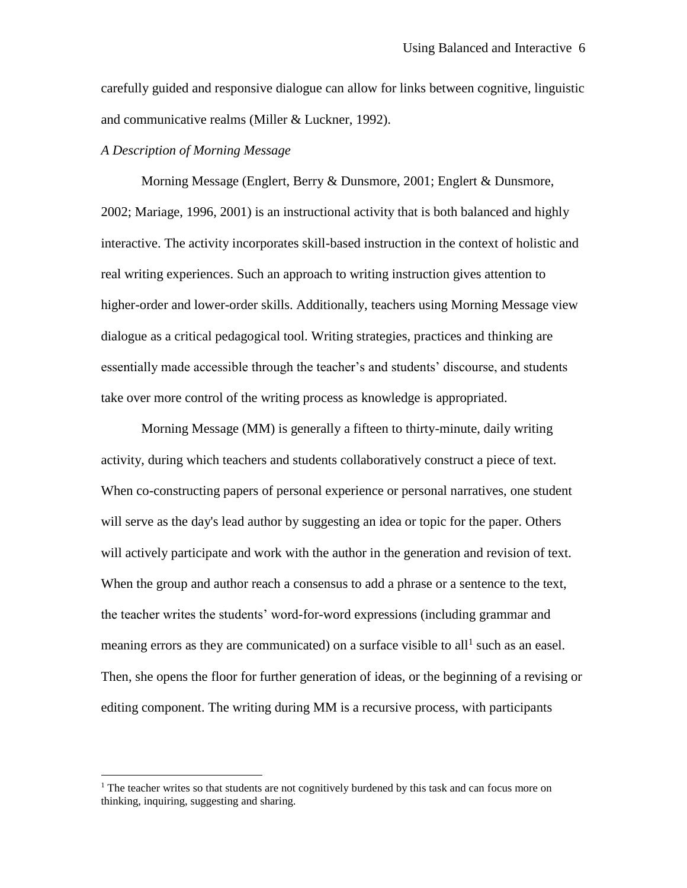carefully guided and responsive dialogue can allow for links between cognitive, linguistic and communicative realms (Miller & Luckner, 1992).

### *A Description of Morning Message*

 $\overline{a}$ 

Morning Message (Englert, Berry & Dunsmore, 2001; Englert & Dunsmore, 2002; Mariage, 1996, 2001) is an instructional activity that is both balanced and highly interactive. The activity incorporates skill-based instruction in the context of holistic and real writing experiences. Such an approach to writing instruction gives attention to higher-order and lower-order skills. Additionally, teachers using Morning Message view dialogue as a critical pedagogical tool. Writing strategies, practices and thinking are essentially made accessible through the teacher's and students' discourse, and students take over more control of the writing process as knowledge is appropriated.

Morning Message (MM) is generally a fifteen to thirty-minute, daily writing activity, during which teachers and students collaboratively construct a piece of text. When co-constructing papers of personal experience or personal narratives, one student will serve as the day's lead author by suggesting an idea or topic for the paper. Others will actively participate and work with the author in the generation and revision of text. When the group and author reach a consensus to add a phrase or a sentence to the text, the teacher writes the students' word-for-word expressions (including grammar and meaning errors as they are communicated) on a surface visible to all<sup>1</sup> such as an easel. Then, she opens the floor for further generation of ideas, or the beginning of a revising or editing component. The writing during MM is a recursive process, with participants

 $<sup>1</sup>$  The teacher writes so that students are not cognitively burdened by this task and can focus more on</sup> thinking, inquiring, suggesting and sharing.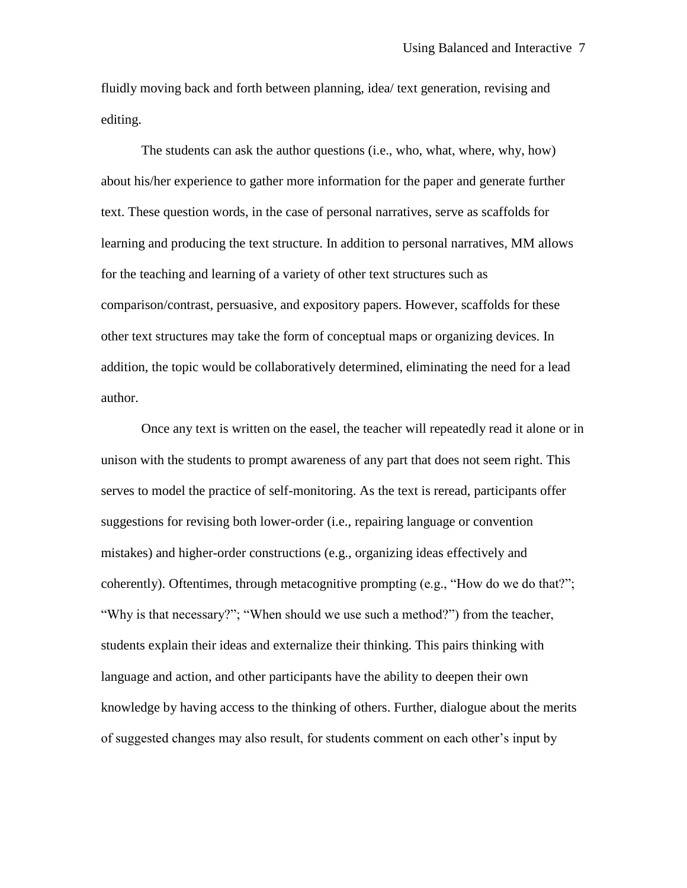fluidly moving back and forth between planning, idea/ text generation, revising and editing.

The students can ask the author questions (i.e., who, what, where, why, how) about his/her experience to gather more information for the paper and generate further text. These question words, in the case of personal narratives, serve as scaffolds for learning and producing the text structure. In addition to personal narratives, MM allows for the teaching and learning of a variety of other text structures such as comparison/contrast, persuasive, and expository papers. However, scaffolds for these other text structures may take the form of conceptual maps or organizing devices. In addition, the topic would be collaboratively determined, eliminating the need for a lead author.

Once any text is written on the easel, the teacher will repeatedly read it alone or in unison with the students to prompt awareness of any part that does not seem right. This serves to model the practice of self-monitoring. As the text is reread, participants offer suggestions for revising both lower-order (i.e., repairing language or convention mistakes) and higher-order constructions (e.g., organizing ideas effectively and coherently). Oftentimes, through metacognitive prompting (e.g., "How do we do that?"; "Why is that necessary?"; "When should we use such a method?") from the teacher, students explain their ideas and externalize their thinking. This pairs thinking with language and action, and other participants have the ability to deepen their own knowledge by having access to the thinking of others. Further, dialogue about the merits of suggested changes may also result, for students comment on each other's input by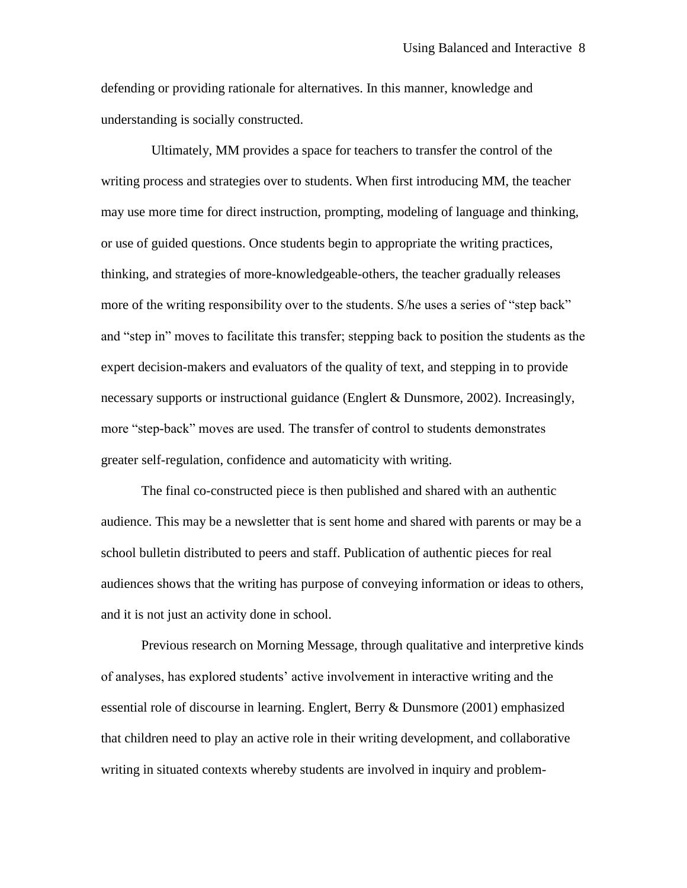defending or providing rationale for alternatives. In this manner, knowledge and understanding is socially constructed.

 Ultimately, MM provides a space for teachers to transfer the control of the writing process and strategies over to students. When first introducing MM, the teacher may use more time for direct instruction, prompting, modeling of language and thinking, or use of guided questions. Once students begin to appropriate the writing practices, thinking, and strategies of more-knowledgeable-others, the teacher gradually releases more of the writing responsibility over to the students. S/he uses a series of "step back" and "step in" moves to facilitate this transfer; stepping back to position the students as the expert decision-makers and evaluators of the quality of text, and stepping in to provide necessary supports or instructional guidance (Englert & Dunsmore, 2002). Increasingly, more "step-back" moves are used. The transfer of control to students demonstrates greater self-regulation, confidence and automaticity with writing.

The final co-constructed piece is then published and shared with an authentic audience. This may be a newsletter that is sent home and shared with parents or may be a school bulletin distributed to peers and staff. Publication of authentic pieces for real audiences shows that the writing has purpose of conveying information or ideas to others, and it is not just an activity done in school.

Previous research on Morning Message, through qualitative and interpretive kinds of analyses, has explored students' active involvement in interactive writing and the essential role of discourse in learning. Englert, Berry & Dunsmore (2001) emphasized that children need to play an active role in their writing development, and collaborative writing in situated contexts whereby students are involved in inquiry and problem-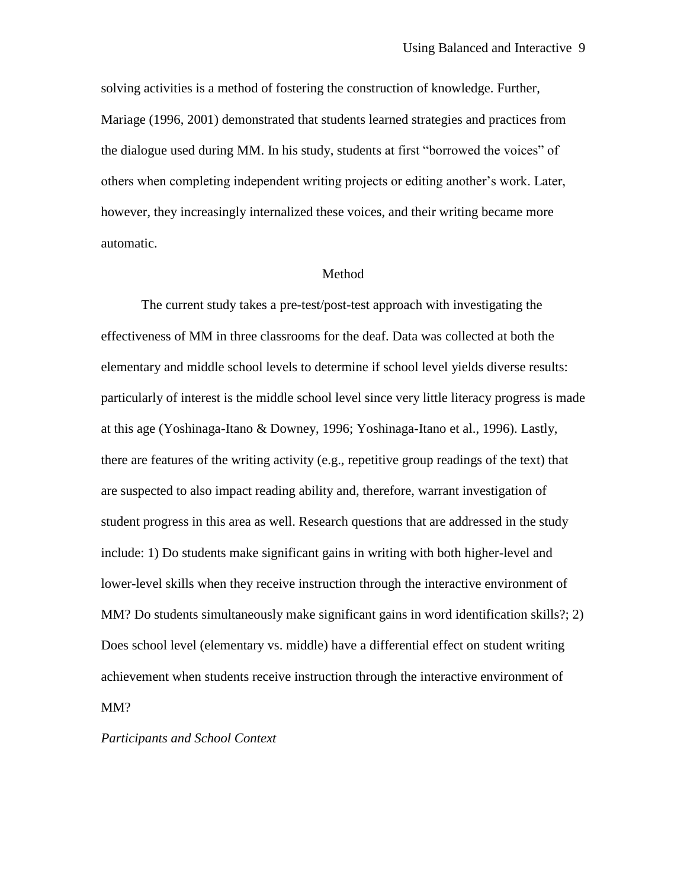solving activities is a method of fostering the construction of knowledge. Further, Mariage (1996, 2001) demonstrated that students learned strategies and practices from the dialogue used during MM. In his study, students at first "borrowed the voices" of others when completing independent writing projects or editing another's work. Later, however, they increasingly internalized these voices, and their writing became more automatic.

### Method

The current study takes a pre-test/post-test approach with investigating the effectiveness of MM in three classrooms for the deaf. Data was collected at both the elementary and middle school levels to determine if school level yields diverse results: particularly of interest is the middle school level since very little literacy progress is made at this age (Yoshinaga-Itano & Downey, 1996; Yoshinaga-Itano et al., 1996). Lastly, there are features of the writing activity (e.g., repetitive group readings of the text) that are suspected to also impact reading ability and, therefore, warrant investigation of student progress in this area as well. Research questions that are addressed in the study include: 1) Do students make significant gains in writing with both higher-level and lower-level skills when they receive instruction through the interactive environment of MM? Do students simultaneously make significant gains in word identification skills?; 2) Does school level (elementary vs. middle) have a differential effect on student writing achievement when students receive instruction through the interactive environment of MM?

*Participants and School Context*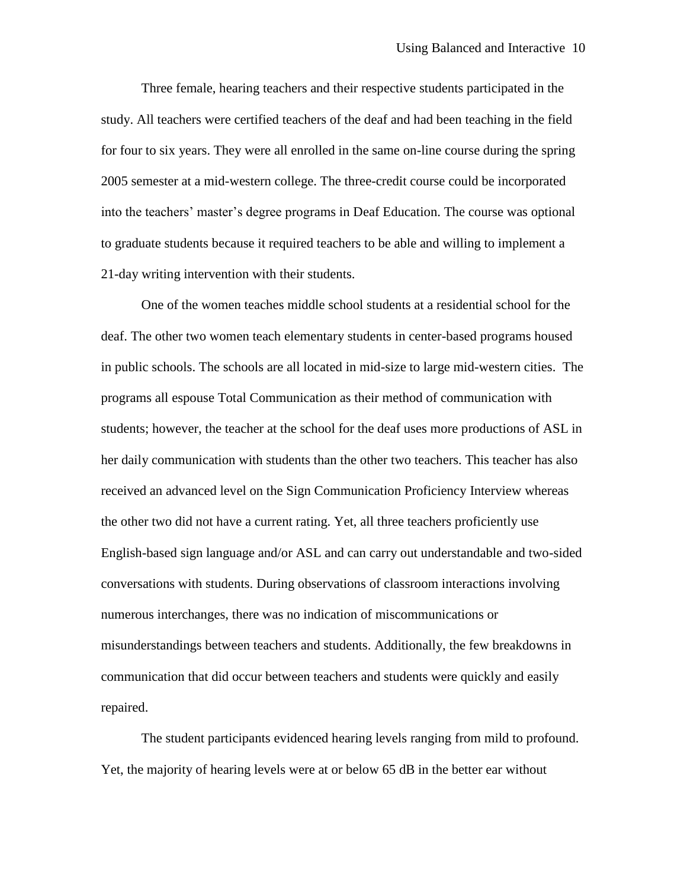Three female, hearing teachers and their respective students participated in the study. All teachers were certified teachers of the deaf and had been teaching in the field for four to six years. They were all enrolled in the same on-line course during the spring 2005 semester at a mid-western college. The three-credit course could be incorporated into the teachers' master's degree programs in Deaf Education. The course was optional to graduate students because it required teachers to be able and willing to implement a 21-day writing intervention with their students.

One of the women teaches middle school students at a residential school for the deaf. The other two women teach elementary students in center-based programs housed in public schools. The schools are all located in mid-size to large mid-western cities. The programs all espouse Total Communication as their method of communication with students; however, the teacher at the school for the deaf uses more productions of ASL in her daily communication with students than the other two teachers. This teacher has also received an advanced level on the Sign Communication Proficiency Interview whereas the other two did not have a current rating. Yet, all three teachers proficiently use English-based sign language and/or ASL and can carry out understandable and two-sided conversations with students. During observations of classroom interactions involving numerous interchanges, there was no indication of miscommunications or misunderstandings between teachers and students. Additionally, the few breakdowns in communication that did occur between teachers and students were quickly and easily repaired.

The student participants evidenced hearing levels ranging from mild to profound. Yet, the majority of hearing levels were at or below 65 dB in the better ear without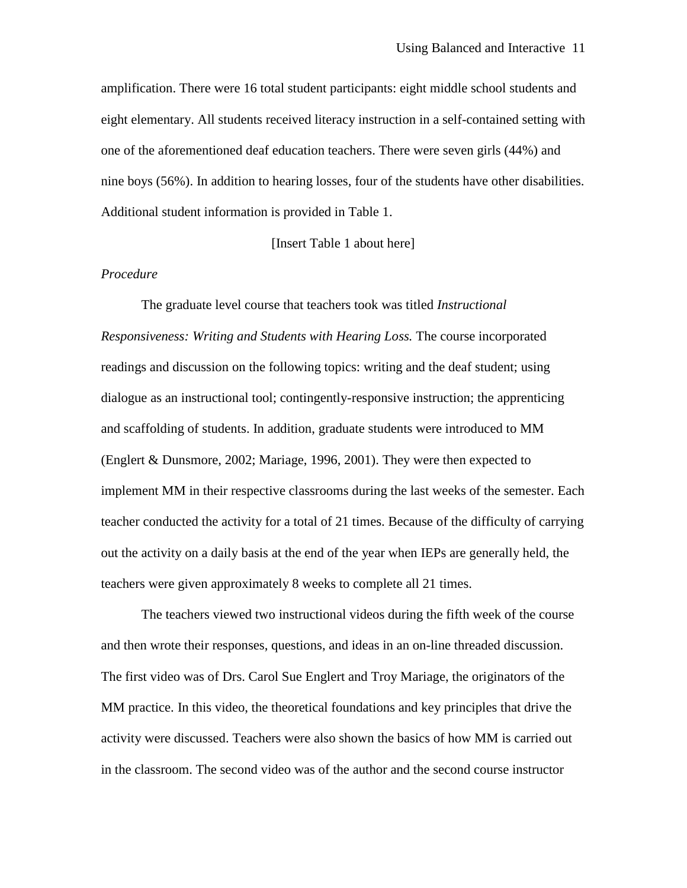amplification. There were 16 total student participants: eight middle school students and eight elementary. All students received literacy instruction in a self-contained setting with one of the aforementioned deaf education teachers. There were seven girls (44%) and nine boys (56%). In addition to hearing losses, four of the students have other disabilities. Additional student information is provided in Table 1.

[Insert Table 1 about here]

### *Procedure*

The graduate level course that teachers took was titled *Instructional Responsiveness: Writing and Students with Hearing Loss.* The course incorporated readings and discussion on the following topics: writing and the deaf student; using dialogue as an instructional tool; contingently-responsive instruction; the apprenticing and scaffolding of students. In addition, graduate students were introduced to MM (Englert & Dunsmore, 2002; Mariage, 1996, 2001). They were then expected to implement MM in their respective classrooms during the last weeks of the semester. Each teacher conducted the activity for a total of 21 times. Because of the difficulty of carrying out the activity on a daily basis at the end of the year when IEPs are generally held, the teachers were given approximately 8 weeks to complete all 21 times.

The teachers viewed two instructional videos during the fifth week of the course and then wrote their responses, questions, and ideas in an on-line threaded discussion. The first video was of Drs. Carol Sue Englert and Troy Mariage, the originators of the MM practice. In this video, the theoretical foundations and key principles that drive the activity were discussed. Teachers were also shown the basics of how MM is carried out in the classroom. The second video was of the author and the second course instructor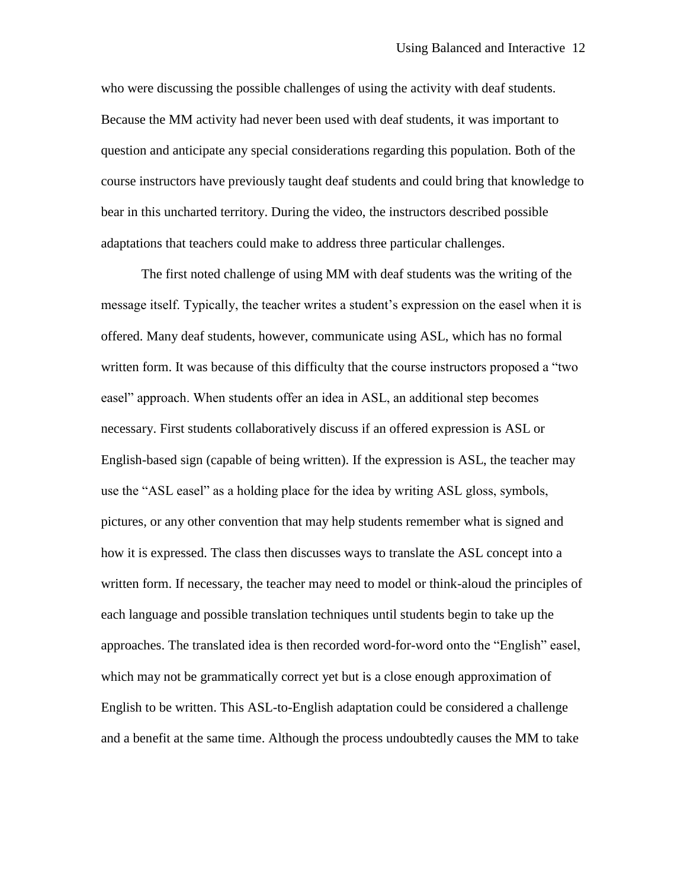who were discussing the possible challenges of using the activity with deaf students. Because the MM activity had never been used with deaf students, it was important to question and anticipate any special considerations regarding this population. Both of the course instructors have previously taught deaf students and could bring that knowledge to bear in this uncharted territory. During the video, the instructors described possible adaptations that teachers could make to address three particular challenges.

The first noted challenge of using MM with deaf students was the writing of the message itself. Typically, the teacher writes a student's expression on the easel when it is offered. Many deaf students, however, communicate using ASL, which has no formal written form. It was because of this difficulty that the course instructors proposed a "two easel" approach. When students offer an idea in ASL, an additional step becomes necessary. First students collaboratively discuss if an offered expression is ASL or English-based sign (capable of being written). If the expression is ASL, the teacher may use the "ASL easel" as a holding place for the idea by writing ASL gloss, symbols, pictures, or any other convention that may help students remember what is signed and how it is expressed. The class then discusses ways to translate the ASL concept into a written form. If necessary, the teacher may need to model or think-aloud the principles of each language and possible translation techniques until students begin to take up the approaches. The translated idea is then recorded word-for-word onto the "English" easel, which may not be grammatically correct yet but is a close enough approximation of English to be written. This ASL-to-English adaptation could be considered a challenge and a benefit at the same time. Although the process undoubtedly causes the MM to take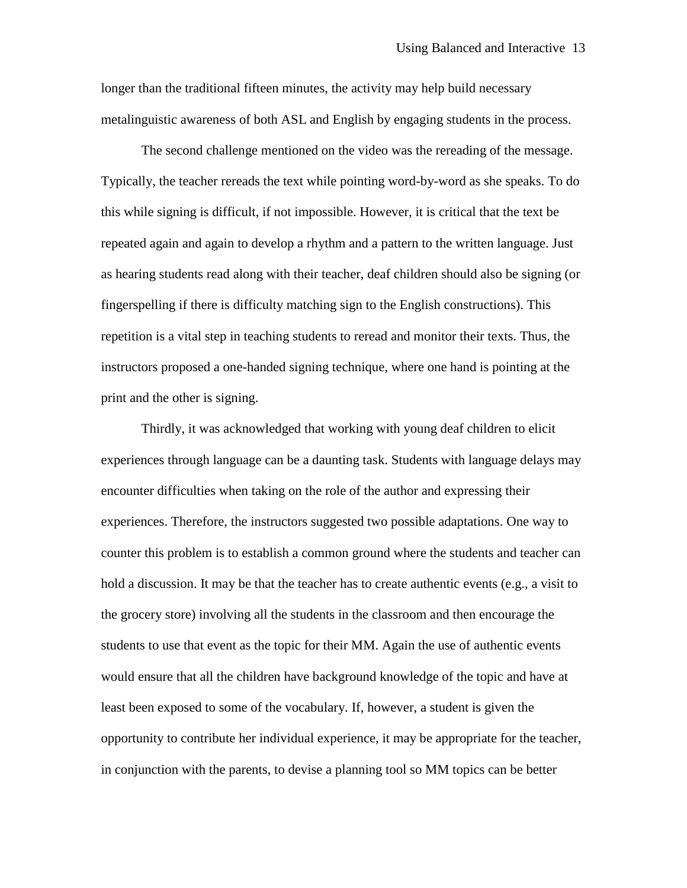longer than the traditional fifteen minutes, the activity may help build necessary metalinguistic awareness of both ASL and English by engaging students in the process.

The second challenge mentioned on the video was the rereading of the message. Typically, the teacher rereads the text while pointing word-by-word as she speaks. To do this while signing is difficult, if not impossible. However, it is critical that the text be repeated again and again to develop a rhythm and a pattern to the written language. Just as hearing students read along with their teacher, deaf children should also be signing (or fingerspelling if there is difficulty matching sign to the English constructions). This repetition is a vital step in teaching students to reread and monitor their texts. Thus, the instructors proposed a one-handed signing technique, where one hand is pointing at the print and the other is signing.

Thirdly, it was acknowledged that working with young deaf children to elicit experiences through language can be a daunting task. Students with language delays may encounter difficulties when taking on the role of the author and expressing their experiences. Therefore, the instructors suggested two possible adaptations. One way to counter this problem is to establish a common ground where the students and teacher can hold a discussion. It may be that the teacher has to create authentic events (e.g., a visit to the grocery store) involving all the students in the classroom and then encourage the students to use that event as the topic for their MM. Again the use of authentic events would ensure that all the children have background knowledge of the topic and have at least been exposed to some of the vocabulary. If, however, a student is given the opportunity to contribute her individual experience, it may be appropriate for the teacher, in conjunction with the parents, to devise a planning tool so MM topics can be better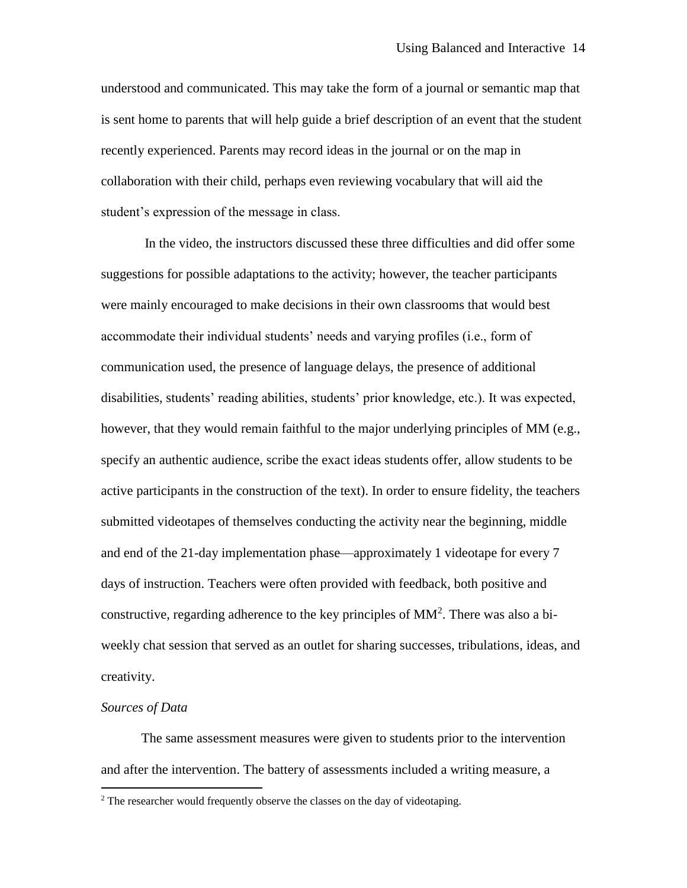understood and communicated. This may take the form of a journal or semantic map that is sent home to parents that will help guide a brief description of an event that the student recently experienced. Parents may record ideas in the journal or on the map in collaboration with their child, perhaps even reviewing vocabulary that will aid the student's expression of the message in class.

In the video, the instructors discussed these three difficulties and did offer some suggestions for possible adaptations to the activity; however, the teacher participants were mainly encouraged to make decisions in their own classrooms that would best accommodate their individual students' needs and varying profiles (i.e., form of communication used, the presence of language delays, the presence of additional disabilities, students' reading abilities, students' prior knowledge, etc.). It was expected, however, that they would remain faithful to the major underlying principles of MM (e.g., specify an authentic audience, scribe the exact ideas students offer, allow students to be active participants in the construction of the text). In order to ensure fidelity, the teachers submitted videotapes of themselves conducting the activity near the beginning, middle and end of the 21-day implementation phase—approximately 1 videotape for every 7 days of instruction. Teachers were often provided with feedback, both positive and constructive, regarding adherence to the key principles of  $MM^2$ . There was also a biweekly chat session that served as an outlet for sharing successes, tribulations, ideas, and creativity.

### *Sources of Data*

 $\overline{a}$ 

The same assessment measures were given to students prior to the intervention and after the intervention. The battery of assessments included a writing measure, a

 $2$  The researcher would frequently observe the classes on the day of videotaping.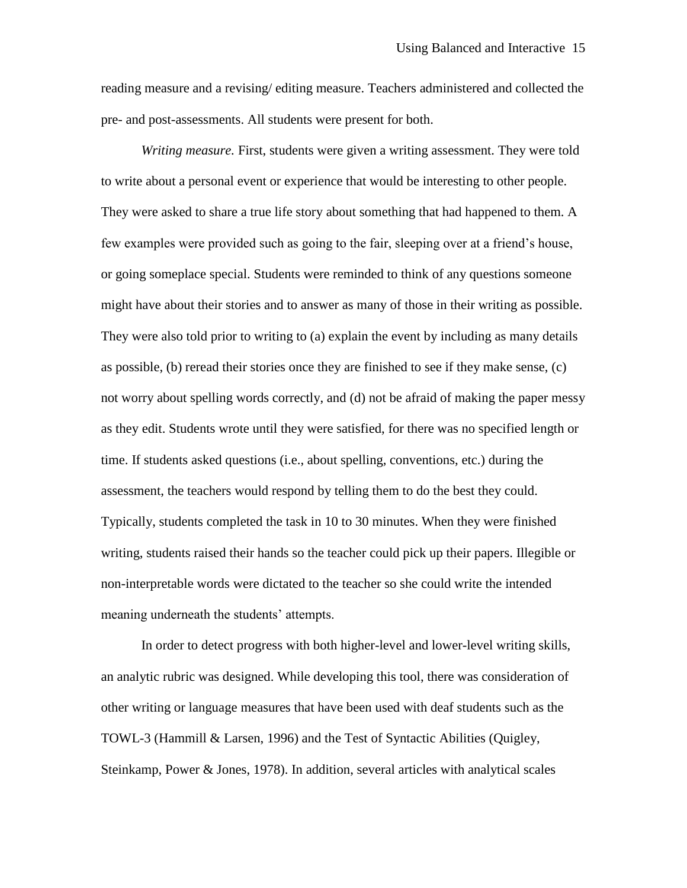reading measure and a revising/ editing measure. Teachers administered and collected the pre- and post-assessments. All students were present for both.

*Writing measure.* First, students were given a writing assessment. They were told to write about a personal event or experience that would be interesting to other people. They were asked to share a true life story about something that had happened to them. A few examples were provided such as going to the fair, sleeping over at a friend's house, or going someplace special. Students were reminded to think of any questions someone might have about their stories and to answer as many of those in their writing as possible. They were also told prior to writing to (a) explain the event by including as many details as possible, (b) reread their stories once they are finished to see if they make sense, (c) not worry about spelling words correctly, and (d) not be afraid of making the paper messy as they edit. Students wrote until they were satisfied, for there was no specified length or time. If students asked questions (i.e., about spelling, conventions, etc.) during the assessment, the teachers would respond by telling them to do the best they could. Typically, students completed the task in 10 to 30 minutes. When they were finished writing, students raised their hands so the teacher could pick up their papers. Illegible or non-interpretable words were dictated to the teacher so she could write the intended meaning underneath the students' attempts.

In order to detect progress with both higher-level and lower-level writing skills, an analytic rubric was designed. While developing this tool, there was consideration of other writing or language measures that have been used with deaf students such as the TOWL-3 (Hammill & Larsen, 1996) and the Test of Syntactic Abilities (Quigley, Steinkamp, Power & Jones, 1978). In addition, several articles with analytical scales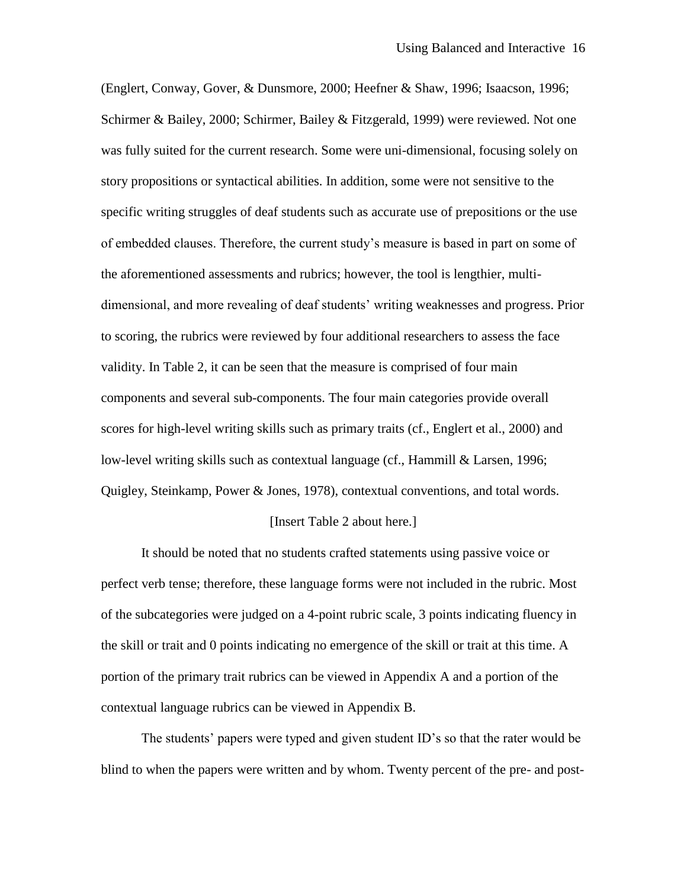(Englert, Conway, Gover, & Dunsmore, 2000; Heefner & Shaw, 1996; Isaacson, 1996; Schirmer & Bailey, 2000; Schirmer, Bailey & Fitzgerald, 1999) were reviewed. Not one was fully suited for the current research. Some were uni-dimensional, focusing solely on story propositions or syntactical abilities. In addition, some were not sensitive to the specific writing struggles of deaf students such as accurate use of prepositions or the use of embedded clauses. Therefore, the current study's measure is based in part on some of the aforementioned assessments and rubrics; however, the tool is lengthier, multidimensional, and more revealing of deaf students' writing weaknesses and progress. Prior to scoring, the rubrics were reviewed by four additional researchers to assess the face validity. In Table 2, it can be seen that the measure is comprised of four main components and several sub-components. The four main categories provide overall scores for high-level writing skills such as primary traits (cf., Englert et al., 2000) and low-level writing skills such as contextual language (cf., Hammill & Larsen, 1996; Quigley, Steinkamp, Power & Jones, 1978), contextual conventions, and total words.

### [Insert Table 2 about here.]

It should be noted that no students crafted statements using passive voice or perfect verb tense; therefore, these language forms were not included in the rubric. Most of the subcategories were judged on a 4-point rubric scale, 3 points indicating fluency in the skill or trait and 0 points indicating no emergence of the skill or trait at this time. A portion of the primary trait rubrics can be viewed in Appendix A and a portion of the contextual language rubrics can be viewed in Appendix B.

The students' papers were typed and given student ID's so that the rater would be blind to when the papers were written and by whom. Twenty percent of the pre- and post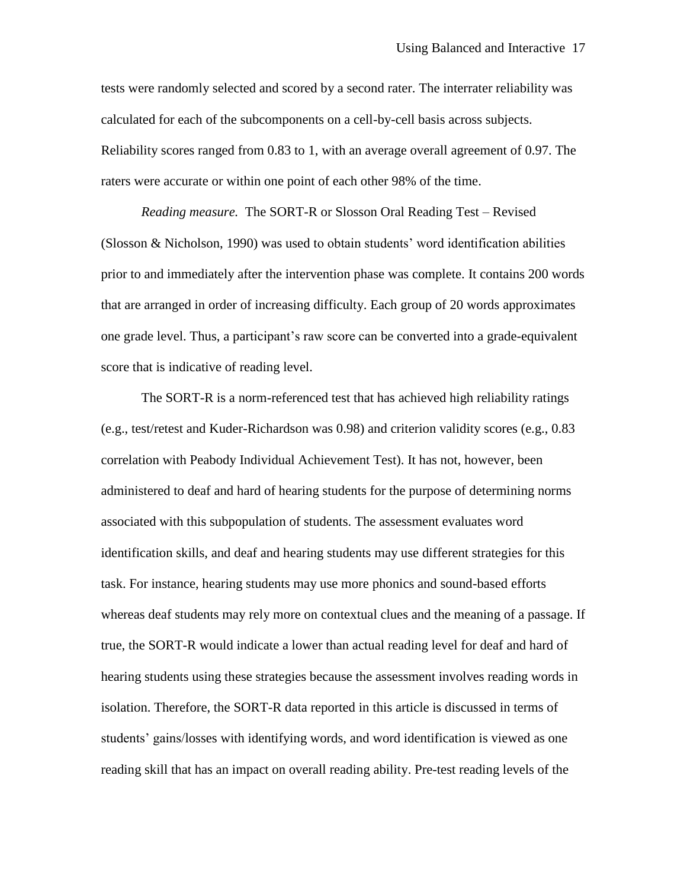tests were randomly selected and scored by a second rater. The interrater reliability was calculated for each of the subcomponents on a cell-by-cell basis across subjects. Reliability scores ranged from 0.83 to 1, with an average overall agreement of 0.97. The raters were accurate or within one point of each other 98% of the time.

*Reading measure.* The SORT-R or Slosson Oral Reading Test – Revised (Slosson & Nicholson, 1990) was used to obtain students' word identification abilities prior to and immediately after the intervention phase was complete. It contains 200 words that are arranged in order of increasing difficulty. Each group of 20 words approximates one grade level. Thus, a participant's raw score can be converted into a grade-equivalent score that is indicative of reading level.

The SORT-R is a norm-referenced test that has achieved high reliability ratings (e.g., test/retest and Kuder-Richardson was 0.98) and criterion validity scores (e.g., 0.83 correlation with Peabody Individual Achievement Test). It has not, however, been administered to deaf and hard of hearing students for the purpose of determining norms associated with this subpopulation of students. The assessment evaluates word identification skills, and deaf and hearing students may use different strategies for this task. For instance, hearing students may use more phonics and sound-based efforts whereas deaf students may rely more on contextual clues and the meaning of a passage. If true, the SORT-R would indicate a lower than actual reading level for deaf and hard of hearing students using these strategies because the assessment involves reading words in isolation. Therefore, the SORT-R data reported in this article is discussed in terms of students' gains/losses with identifying words, and word identification is viewed as one reading skill that has an impact on overall reading ability. Pre-test reading levels of the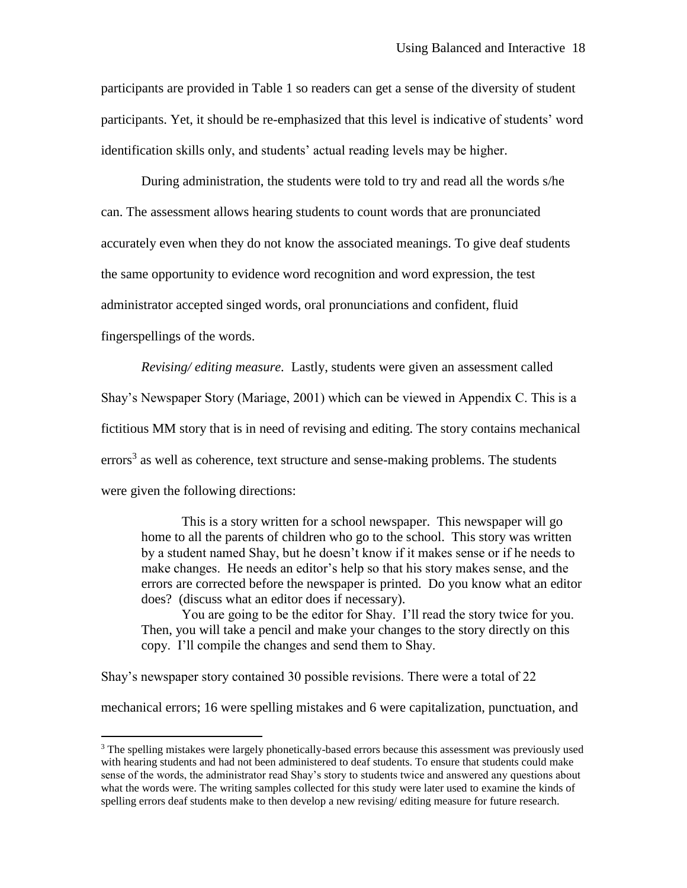participants are provided in Table 1 so readers can get a sense of the diversity of student participants. Yet, it should be re-emphasized that this level is indicative of students' word identification skills only, and students' actual reading levels may be higher.

During administration, the students were told to try and read all the words s/he can. The assessment allows hearing students to count words that are pronunciated accurately even when they do not know the associated meanings. To give deaf students the same opportunity to evidence word recognition and word expression, the test administrator accepted singed words, oral pronunciations and confident, fluid fingerspellings of the words.

*Revising/ editing measure.* Lastly, students were given an assessment called Shay's Newspaper Story (Mariage, 2001) which can be viewed in Appendix C. This is a fictitious MM story that is in need of revising and editing. The story contains mechanical errors<sup>3</sup> as well as coherence, text structure and sense-making problems. The students were given the following directions:

This is a story written for a school newspaper. This newspaper will go home to all the parents of children who go to the school. This story was written by a student named Shay, but he doesn't know if it makes sense or if he needs to make changes. He needs an editor's help so that his story makes sense, and the errors are corrected before the newspaper is printed. Do you know what an editor does? (discuss what an editor does if necessary).

You are going to be the editor for Shay. I'll read the story twice for you. Then, you will take a pencil and make your changes to the story directly on this copy. I'll compile the changes and send them to Shay.

Shay's newspaper story contained 30 possible revisions. There were a total of 22

 $\overline{a}$ 

mechanical errors; 16 were spelling mistakes and 6 were capitalization, punctuation, and

<sup>&</sup>lt;sup>3</sup> The spelling mistakes were largely phonetically-based errors because this assessment was previously used with hearing students and had not been administered to deaf students. To ensure that students could make sense of the words, the administrator read Shay's story to students twice and answered any questions about what the words were. The writing samples collected for this study were later used to examine the kinds of spelling errors deaf students make to then develop a new revising/ editing measure for future research.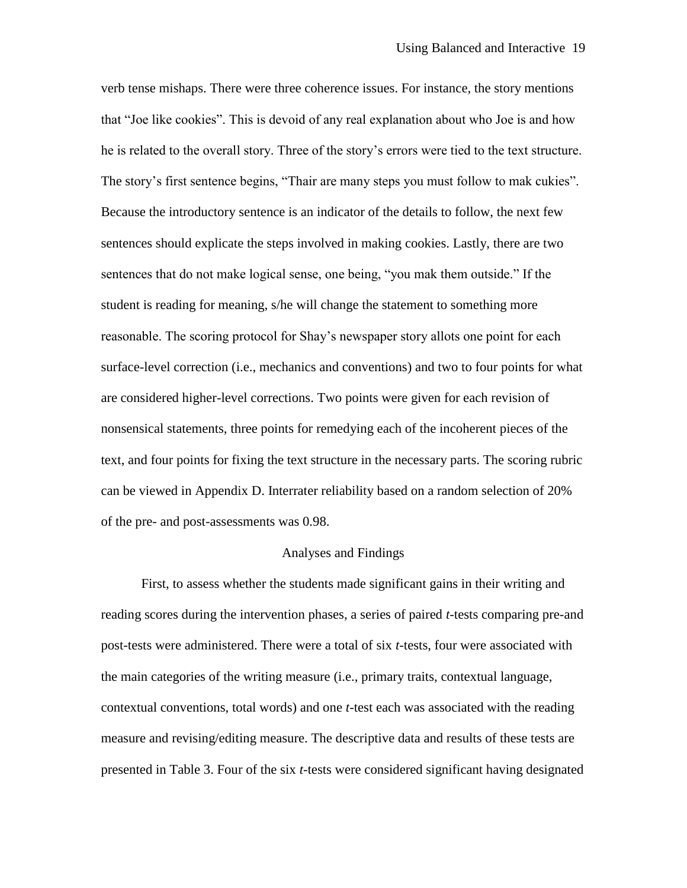verb tense mishaps. There were three coherence issues. For instance, the story mentions that "Joe like cookies". This is devoid of any real explanation about who Joe is and how he is related to the overall story. Three of the story's errors were tied to the text structure. The story's first sentence begins, "Thair are many steps you must follow to mak cukies". Because the introductory sentence is an indicator of the details to follow, the next few sentences should explicate the steps involved in making cookies. Lastly, there are two sentences that do not make logical sense, one being, "you mak them outside." If the student is reading for meaning, s/he will change the statement to something more reasonable. The scoring protocol for Shay's newspaper story allots one point for each surface-level correction (i.e., mechanics and conventions) and two to four points for what are considered higher-level corrections. Two points were given for each revision of nonsensical statements, three points for remedying each of the incoherent pieces of the text, and four points for fixing the text structure in the necessary parts. The scoring rubric can be viewed in Appendix D. Interrater reliability based on a random selection of 20% of the pre- and post-assessments was 0.98.

### Analyses and Findings

First, to assess whether the students made significant gains in their writing and reading scores during the intervention phases, a series of paired *t*-tests comparing pre-and post-tests were administered. There were a total of six *t*-tests, four were associated with the main categories of the writing measure (i.e., primary traits, contextual language, contextual conventions, total words) and one *t*-test each was associated with the reading measure and revising/editing measure. The descriptive data and results of these tests are presented in Table 3. Four of the six *t*-tests were considered significant having designated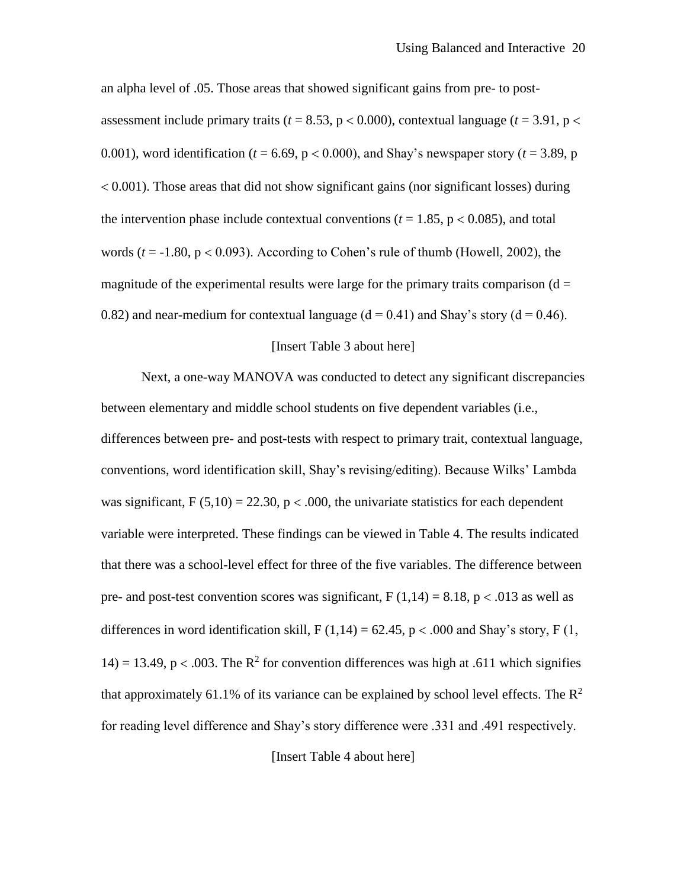an alpha level of .05. Those areas that showed significant gains from pre- to postassessment include primary traits ( $t = 8.53$ ,  $p < 0.000$ ), contextual language ( $t = 3.91$ ,  $p <$ 0.001), word identification ( $t = 6.69$ ,  $p < 0.000$ ), and Shay's newspaper story ( $t = 3.89$ , p  $0.001$ . Those areas that did not show significant gains (nor significant losses) during the intervention phase include contextual conventions ( $t = 1.85$ ,  $p < 0.085$ ), and total words  $(t = -1.80, p < 0.093)$ . According to Cohen's rule of thumb (Howell, 2002), the magnitude of the experimental results were large for the primary traits comparison  $(d =$ 0.82) and near-medium for contextual language  $(d = 0.41)$  and Shay's story  $(d = 0.46)$ .

### [Insert Table 3 about here]

Next, a one-way MANOVA was conducted to detect any significant discrepancies between elementary and middle school students on five dependent variables (i.e., differences between pre- and post-tests with respect to primary trait, contextual language, conventions, word identification skill, Shay's revising/editing). Because Wilks' Lambda was significant,  $F(5,10) = 22.30$ ,  $p < .000$ , the univariate statistics for each dependent variable were interpreted. These findings can be viewed in Table 4. The results indicated that there was a school-level effect for three of the five variables. The difference between pre- and post-test convention scores was significant,  $F(1,14) = 8.18$ ,  $p < .013$  as well as differences in word identification skill,  $F(1,14) = 62.45$ ,  $p < .000$  and Shay's story,  $F(1, 14) = 62.45$ 14) = 13.49, p < .003. The  $R^2$  for convention differences was high at .611 which signifies that approximately 61.1% of its variance can be explained by school level effects. The  $\mathbb{R}^2$ for reading level difference and Shay's story difference were .331 and .491 respectively.

[Insert Table 4 about here]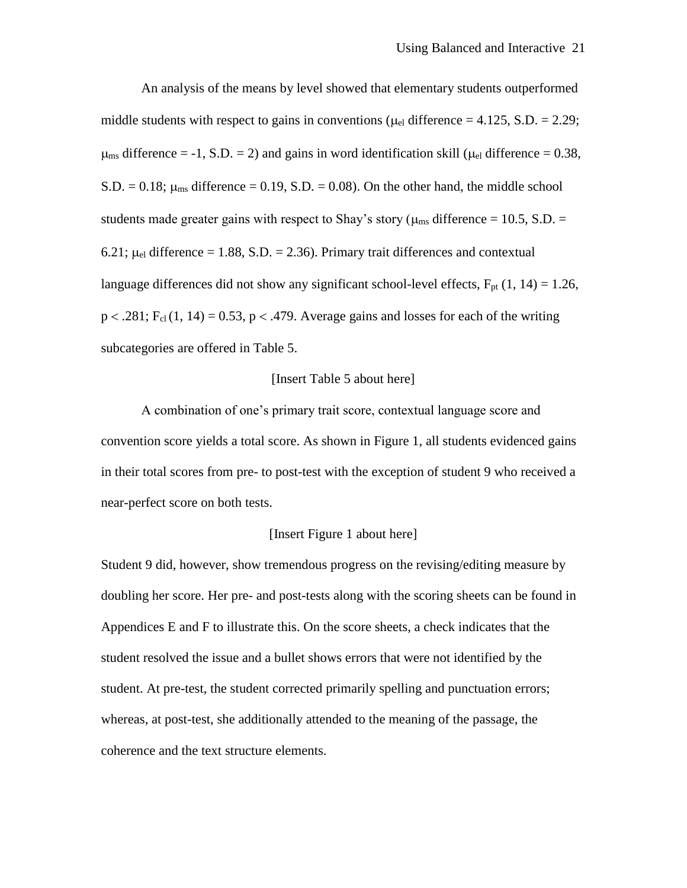An analysis of the means by level showed that elementary students outperformed middle students with respect to gains in conventions ( $\mu_{el}$  difference = 4.125, S.D. = 2.29;  $\mu_{\text{ms}}$  difference = -1, S.D. = 2) and gains in word identification skill ( $\mu_{el}$  difference = 0.38,  $S.D. = 0.18$ ;  $\mu_{\text{ms}}$  difference = 0.19, S.D. = 0.08). On the other hand, the middle school students made greater gains with respect to Shay's story ( $\mu_{\text{ms}}$  difference = 10.5, S.D. = 6.21;  $\mu_{el}$  difference = 1.88, S.D. = 2.36). Primary trait differences and contextual language differences did not show any significant school-level effects,  $F_{pt}$  (1, 14) = 1.26,  $p < .281$ ; F<sub>cl</sub> (1, 14) = 0.53,  $p < .479$ . Average gains and losses for each of the writing subcategories are offered in Table 5.

### [Insert Table 5 about here]

A combination of one's primary trait score, contextual language score and convention score yields a total score. As shown in Figure 1, all students evidenced gains in their total scores from pre- to post-test with the exception of student 9 who received a near-perfect score on both tests.

### [Insert Figure 1 about here]

Student 9 did, however, show tremendous progress on the revising/editing measure by doubling her score. Her pre- and post-tests along with the scoring sheets can be found in Appendices E and F to illustrate this. On the score sheets, a check indicates that the student resolved the issue and a bullet shows errors that were not identified by the student. At pre-test, the student corrected primarily spelling and punctuation errors; whereas, at post-test, she additionally attended to the meaning of the passage, the coherence and the text structure elements.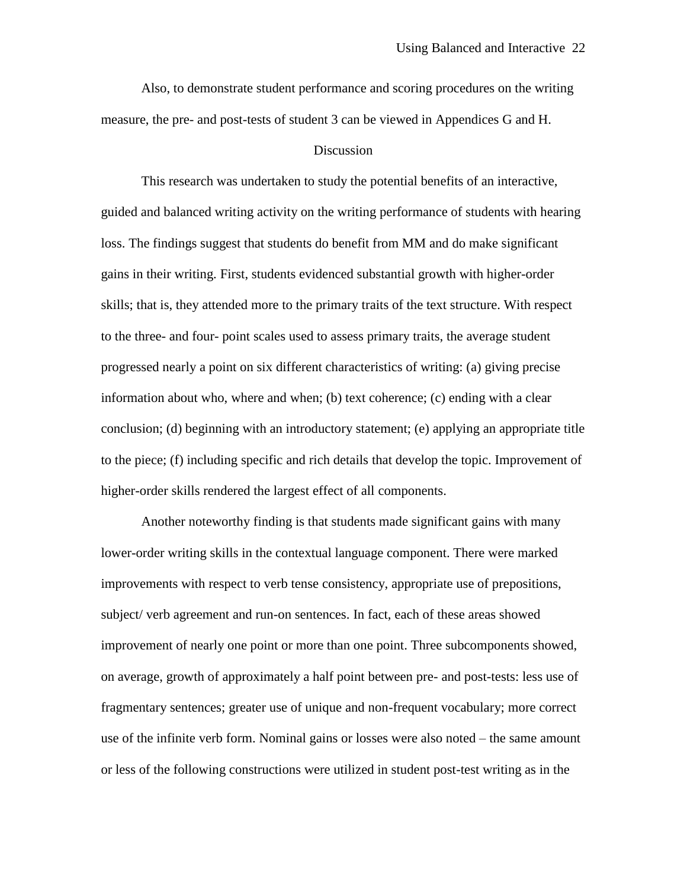Also, to demonstrate student performance and scoring procedures on the writing measure, the pre- and post-tests of student 3 can be viewed in Appendices G and H.

### Discussion

This research was undertaken to study the potential benefits of an interactive, guided and balanced writing activity on the writing performance of students with hearing loss. The findings suggest that students do benefit from MM and do make significant gains in their writing. First, students evidenced substantial growth with higher-order skills; that is, they attended more to the primary traits of the text structure. With respect to the three- and four- point scales used to assess primary traits, the average student progressed nearly a point on six different characteristics of writing: (a) giving precise information about who, where and when; (b) text coherence; (c) ending with a clear conclusion; (d) beginning with an introductory statement; (e) applying an appropriate title to the piece; (f) including specific and rich details that develop the topic. Improvement of higher-order skills rendered the largest effect of all components.

Another noteworthy finding is that students made significant gains with many lower-order writing skills in the contextual language component. There were marked improvements with respect to verb tense consistency, appropriate use of prepositions, subject/ verb agreement and run-on sentences. In fact, each of these areas showed improvement of nearly one point or more than one point. Three subcomponents showed, on average, growth of approximately a half point between pre- and post-tests: less use of fragmentary sentences; greater use of unique and non-frequent vocabulary; more correct use of the infinite verb form. Nominal gains or losses were also noted – the same amount or less of the following constructions were utilized in student post-test writing as in the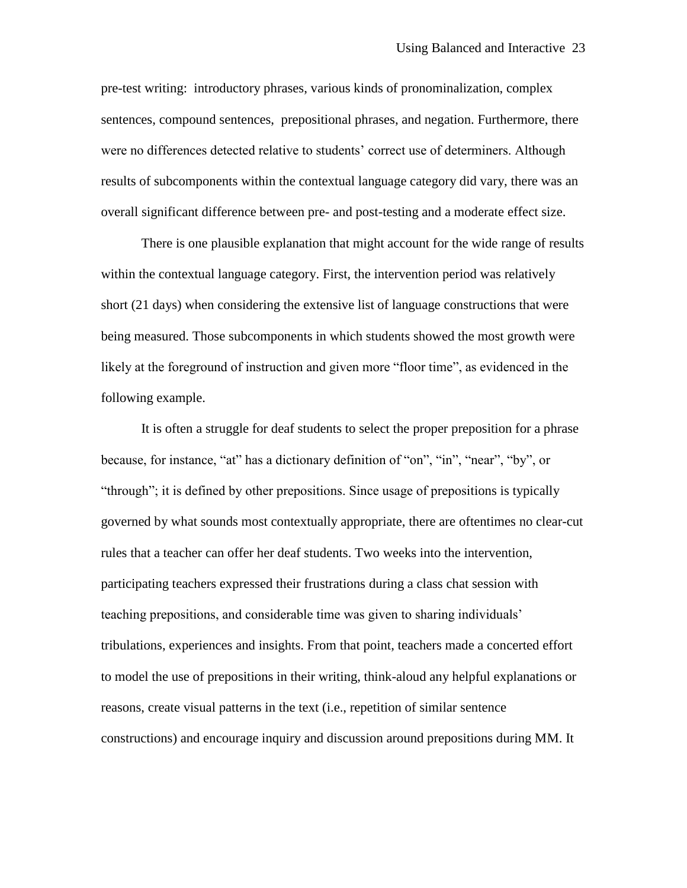pre-test writing: introductory phrases, various kinds of pronominalization, complex sentences, compound sentences, prepositional phrases, and negation. Furthermore, there were no differences detected relative to students' correct use of determiners. Although results of subcomponents within the contextual language category did vary, there was an overall significant difference between pre- and post-testing and a moderate effect size.

There is one plausible explanation that might account for the wide range of results within the contextual language category. First, the intervention period was relatively short (21 days) when considering the extensive list of language constructions that were being measured. Those subcomponents in which students showed the most growth were likely at the foreground of instruction and given more "floor time", as evidenced in the following example.

It is often a struggle for deaf students to select the proper preposition for a phrase because, for instance, "at" has a dictionary definition of "on", "in", "near", "by", or "through"; it is defined by other prepositions. Since usage of prepositions is typically governed by what sounds most contextually appropriate, there are oftentimes no clear-cut rules that a teacher can offer her deaf students. Two weeks into the intervention, participating teachers expressed their frustrations during a class chat session with teaching prepositions, and considerable time was given to sharing individuals' tribulations, experiences and insights. From that point, teachers made a concerted effort to model the use of prepositions in their writing, think-aloud any helpful explanations or reasons, create visual patterns in the text (i.e., repetition of similar sentence constructions) and encourage inquiry and discussion around prepositions during MM. It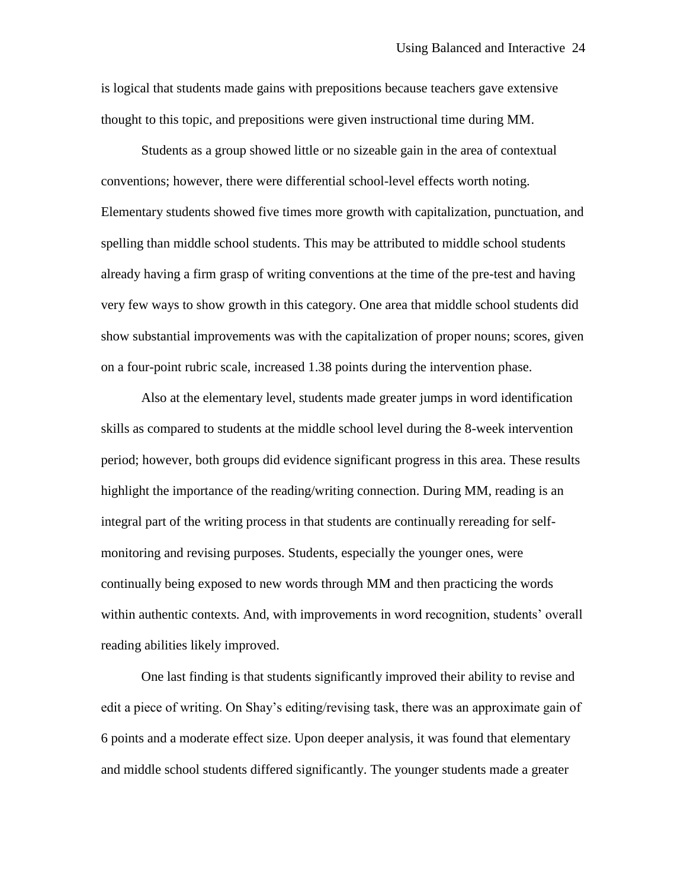is logical that students made gains with prepositions because teachers gave extensive thought to this topic, and prepositions were given instructional time during MM.

Students as a group showed little or no sizeable gain in the area of contextual conventions; however, there were differential school-level effects worth noting. Elementary students showed five times more growth with capitalization, punctuation, and spelling than middle school students. This may be attributed to middle school students already having a firm grasp of writing conventions at the time of the pre-test and having very few ways to show growth in this category. One area that middle school students did show substantial improvements was with the capitalization of proper nouns; scores, given on a four-point rubric scale, increased 1.38 points during the intervention phase.

Also at the elementary level, students made greater jumps in word identification skills as compared to students at the middle school level during the 8-week intervention period; however, both groups did evidence significant progress in this area. These results highlight the importance of the reading/writing connection. During MM, reading is an integral part of the writing process in that students are continually rereading for selfmonitoring and revising purposes. Students, especially the younger ones, were continually being exposed to new words through MM and then practicing the words within authentic contexts. And, with improvements in word recognition, students' overall reading abilities likely improved.

One last finding is that students significantly improved their ability to revise and edit a piece of writing. On Shay's editing/revising task, there was an approximate gain of 6 points and a moderate effect size. Upon deeper analysis, it was found that elementary and middle school students differed significantly. The younger students made a greater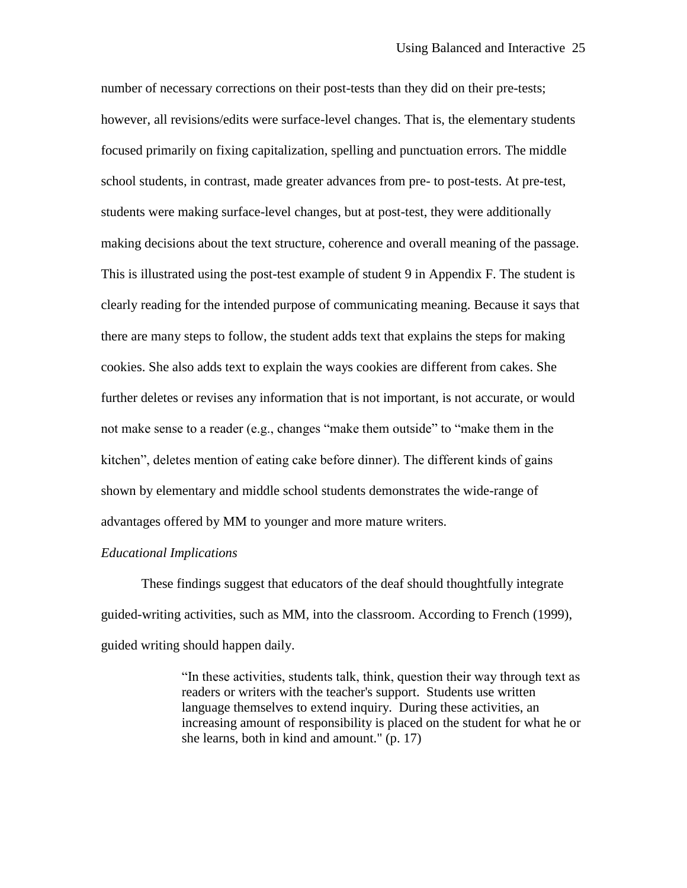number of necessary corrections on their post-tests than they did on their pre-tests; however, all revisions/edits were surface-level changes. That is, the elementary students focused primarily on fixing capitalization, spelling and punctuation errors. The middle school students, in contrast, made greater advances from pre- to post-tests. At pre-test, students were making surface-level changes, but at post-test, they were additionally making decisions about the text structure, coherence and overall meaning of the passage. This is illustrated using the post-test example of student 9 in Appendix F. The student is clearly reading for the intended purpose of communicating meaning. Because it says that there are many steps to follow, the student adds text that explains the steps for making cookies. She also adds text to explain the ways cookies are different from cakes. She further deletes or revises any information that is not important, is not accurate, or would not make sense to a reader (e.g., changes "make them outside" to "make them in the kitchen", deletes mention of eating cake before dinner). The different kinds of gains shown by elementary and middle school students demonstrates the wide-range of advantages offered by MM to younger and more mature writers.

### *Educational Implications*

These findings suggest that educators of the deaf should thoughtfully integrate guided-writing activities, such as MM, into the classroom. According to French (1999), guided writing should happen daily.

> "In these activities, students talk, think, question their way through text as readers or writers with the teacher's support. Students use written language themselves to extend inquiry. During these activities, an increasing amount of responsibility is placed on the student for what he or she learns, both in kind and amount." (p. 17)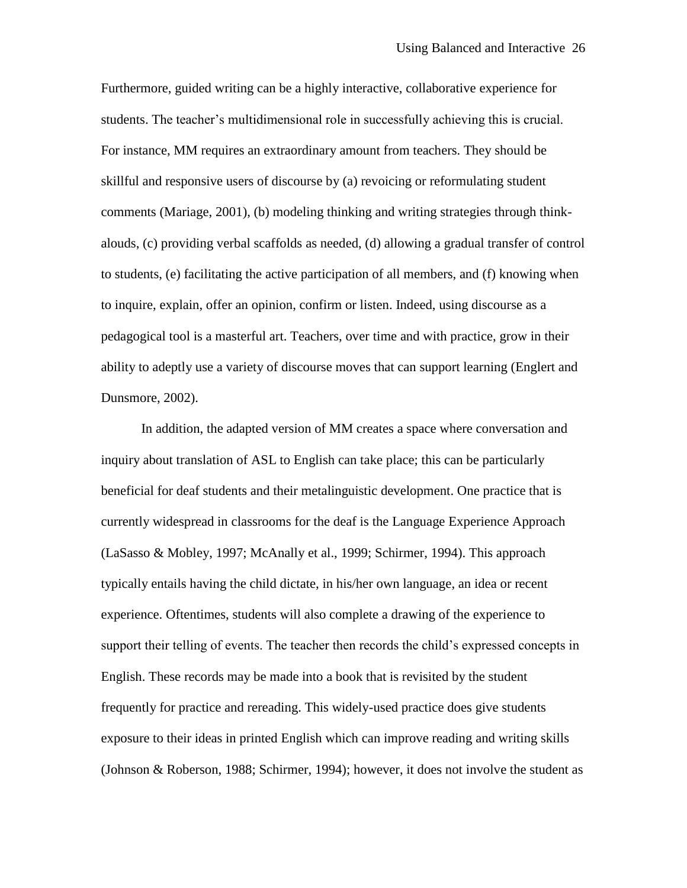Furthermore, guided writing can be a highly interactive, collaborative experience for students. The teacher's multidimensional role in successfully achieving this is crucial. For instance, MM requires an extraordinary amount from teachers. They should be skillful and responsive users of discourse by (a) revoicing or reformulating student comments (Mariage, 2001), (b) modeling thinking and writing strategies through thinkalouds, (c) providing verbal scaffolds as needed, (d) allowing a gradual transfer of control to students, (e) facilitating the active participation of all members, and (f) knowing when to inquire, explain, offer an opinion, confirm or listen. Indeed, using discourse as a pedagogical tool is a masterful art. Teachers, over time and with practice, grow in their ability to adeptly use a variety of discourse moves that can support learning (Englert and Dunsmore, 2002).

In addition, the adapted version of MM creates a space where conversation and inquiry about translation of ASL to English can take place; this can be particularly beneficial for deaf students and their metalinguistic development. One practice that is currently widespread in classrooms for the deaf is the Language Experience Approach (LaSasso & Mobley, 1997; McAnally et al., 1999; Schirmer, 1994). This approach typically entails having the child dictate, in his/her own language, an idea or recent experience. Oftentimes, students will also complete a drawing of the experience to support their telling of events. The teacher then records the child's expressed concepts in English. These records may be made into a book that is revisited by the student frequently for practice and rereading. This widely-used practice does give students exposure to their ideas in printed English which can improve reading and writing skills (Johnson & Roberson, 1988; Schirmer, 1994); however, it does not involve the student as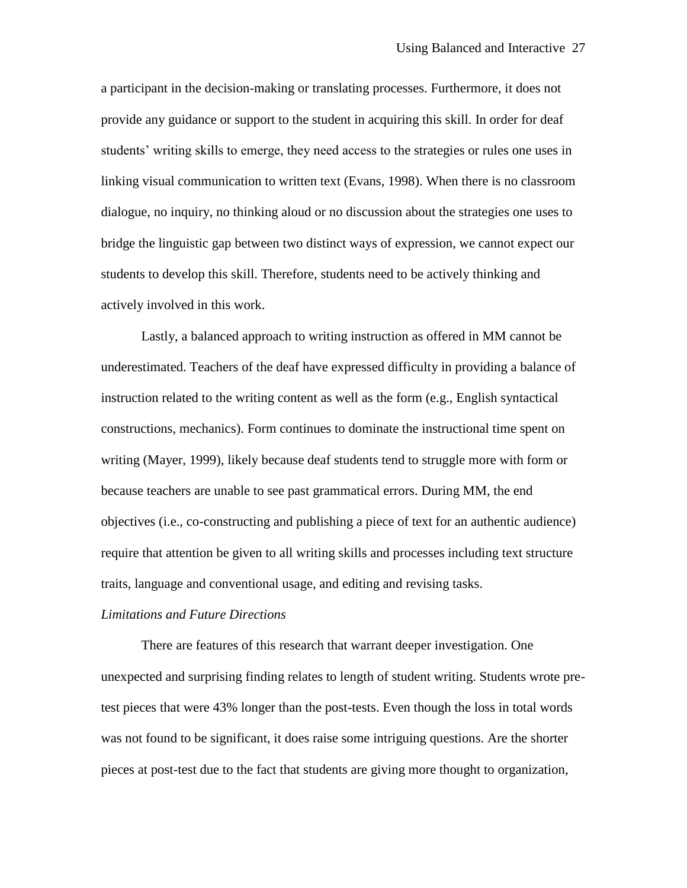a participant in the decision-making or translating processes. Furthermore, it does not provide any guidance or support to the student in acquiring this skill. In order for deaf students' writing skills to emerge, they need access to the strategies or rules one uses in linking visual communication to written text (Evans, 1998). When there is no classroom dialogue, no inquiry, no thinking aloud or no discussion about the strategies one uses to bridge the linguistic gap between two distinct ways of expression, we cannot expect our students to develop this skill. Therefore, students need to be actively thinking and actively involved in this work.

Lastly, a balanced approach to writing instruction as offered in MM cannot be underestimated. Teachers of the deaf have expressed difficulty in providing a balance of instruction related to the writing content as well as the form (e.g., English syntactical constructions, mechanics). Form continues to dominate the instructional time spent on writing (Mayer, 1999), likely because deaf students tend to struggle more with form or because teachers are unable to see past grammatical errors. During MM, the end objectives (i.e., co-constructing and publishing a piece of text for an authentic audience) require that attention be given to all writing skills and processes including text structure traits, language and conventional usage, and editing and revising tasks.

### *Limitations and Future Directions*

There are features of this research that warrant deeper investigation. One unexpected and surprising finding relates to length of student writing. Students wrote pretest pieces that were 43% longer than the post-tests. Even though the loss in total words was not found to be significant, it does raise some intriguing questions. Are the shorter pieces at post-test due to the fact that students are giving more thought to organization,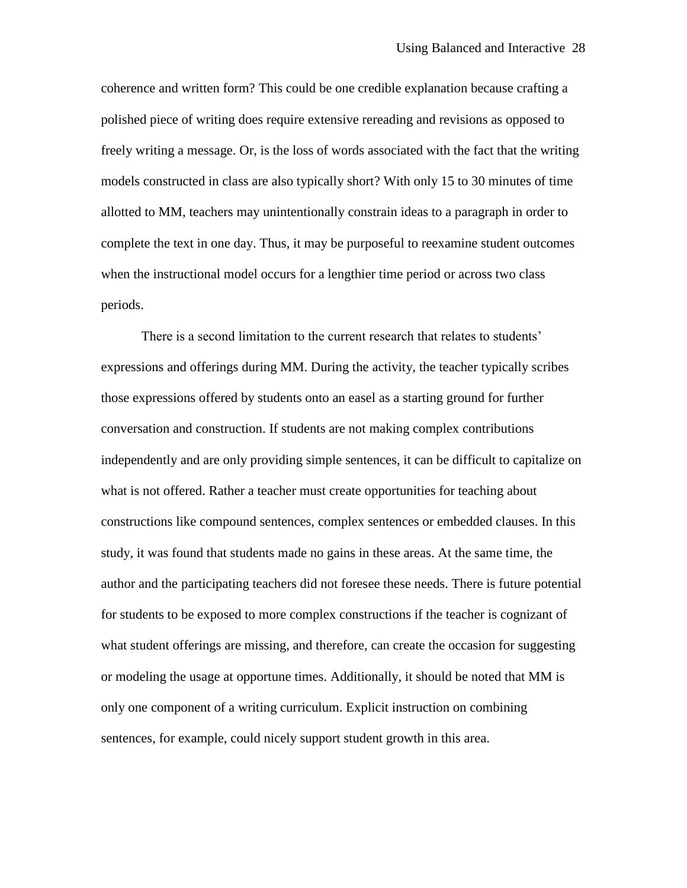coherence and written form? This could be one credible explanation because crafting a polished piece of writing does require extensive rereading and revisions as opposed to freely writing a message. Or, is the loss of words associated with the fact that the writing models constructed in class are also typically short? With only 15 to 30 minutes of time allotted to MM, teachers may unintentionally constrain ideas to a paragraph in order to complete the text in one day. Thus, it may be purposeful to reexamine student outcomes when the instructional model occurs for a lengthier time period or across two class periods.

There is a second limitation to the current research that relates to students' expressions and offerings during MM. During the activity, the teacher typically scribes those expressions offered by students onto an easel as a starting ground for further conversation and construction. If students are not making complex contributions independently and are only providing simple sentences, it can be difficult to capitalize on what is not offered. Rather a teacher must create opportunities for teaching about constructions like compound sentences, complex sentences or embedded clauses. In this study, it was found that students made no gains in these areas. At the same time, the author and the participating teachers did not foresee these needs. There is future potential for students to be exposed to more complex constructions if the teacher is cognizant of what student offerings are missing, and therefore, can create the occasion for suggesting or modeling the usage at opportune times. Additionally, it should be noted that MM is only one component of a writing curriculum. Explicit instruction on combining sentences, for example, could nicely support student growth in this area.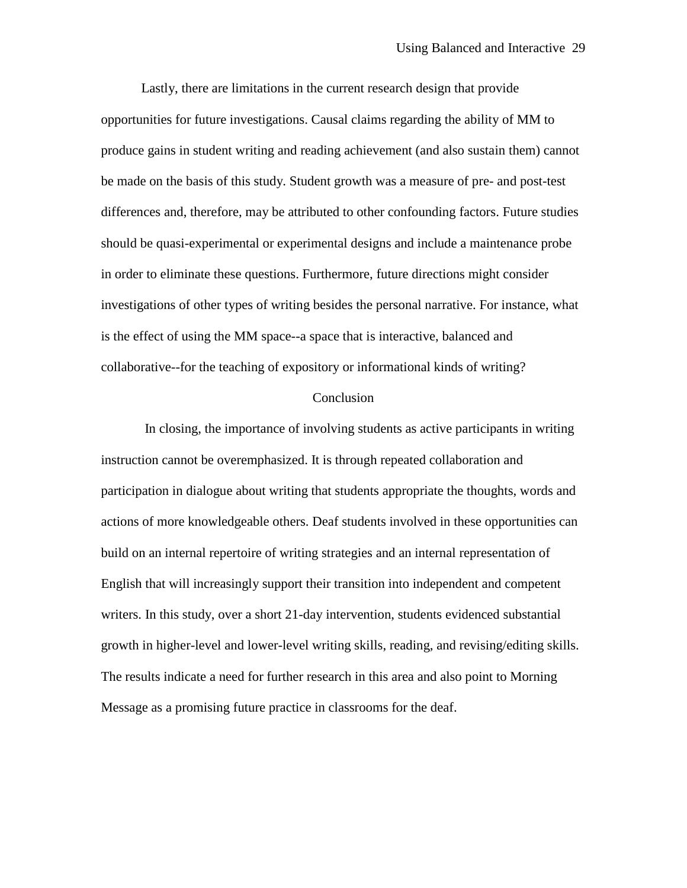Lastly, there are limitations in the current research design that provide opportunities for future investigations. Causal claims regarding the ability of MM to produce gains in student writing and reading achievement (and also sustain them) cannot be made on the basis of this study. Student growth was a measure of pre- and post-test differences and, therefore, may be attributed to other confounding factors. Future studies should be quasi-experimental or experimental designs and include a maintenance probe in order to eliminate these questions. Furthermore, future directions might consider investigations of other types of writing besides the personal narrative. For instance, what is the effect of using the MM space--a space that is interactive, balanced and collaborative--for the teaching of expository or informational kinds of writing?

### **Conclusion**

In closing, the importance of involving students as active participants in writing instruction cannot be overemphasized. It is through repeated collaboration and participation in dialogue about writing that students appropriate the thoughts, words and actions of more knowledgeable others. Deaf students involved in these opportunities can build on an internal repertoire of writing strategies and an internal representation of English that will increasingly support their transition into independent and competent writers. In this study, over a short 21-day intervention, students evidenced substantial growth in higher-level and lower-level writing skills, reading, and revising/editing skills. The results indicate a need for further research in this area and also point to Morning Message as a promising future practice in classrooms for the deaf.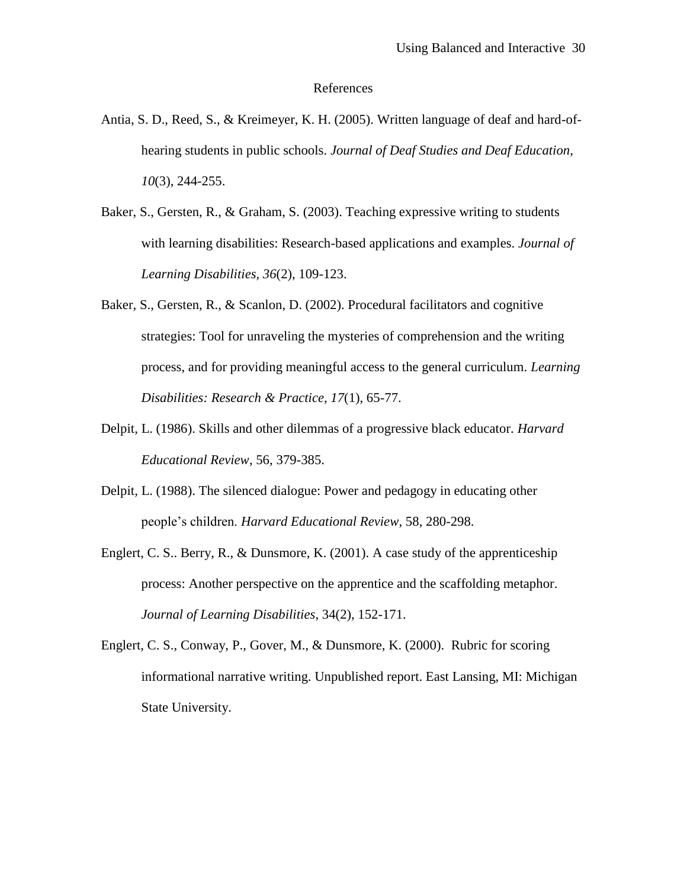#### References

- Antia, S. D., Reed, S., & Kreimeyer, K. H. (2005). Written language of deaf and hard-ofhearing students in public schools. *Journal of Deaf Studies and Deaf Education, 10*(3), 244-255.
- Baker, S., Gersten, R., & Graham, S. (2003). Teaching expressive writing to students with learning disabilities: Research-based applications and examples. *Journal of Learning Disabilities, 36*(2), 109-123.
- Baker, S., Gersten, R., & Scanlon, D. (2002). Procedural facilitators and cognitive strategies: Tool for unraveling the mysteries of comprehension and the writing process, and for providing meaningful access to the general curriculum. *Learning Disabilities: Research & Practice, 17*(1), 65-77.
- Delpit, L. (1986). Skills and other dilemmas of a progressive black educator. *Harvard Educational Review*, 56, 379-385.
- Delpit, L. (1988). The silenced dialogue: Power and pedagogy in educating other people's children. *Harvard Educational Review*, 58, 280-298.
- Englert, C. S.. Berry, R., & Dunsmore, K. (2001). A case study of the apprenticeship process: Another perspective on the apprentice and the scaffolding metaphor. *Journal of Learning Disabilities*, 34(2), 152-171.
- Englert, C. S., Conway, P., Gover, M., & Dunsmore, K. (2000). Rubric for scoring informational narrative writing. Unpublished report. East Lansing, MI: Michigan State University.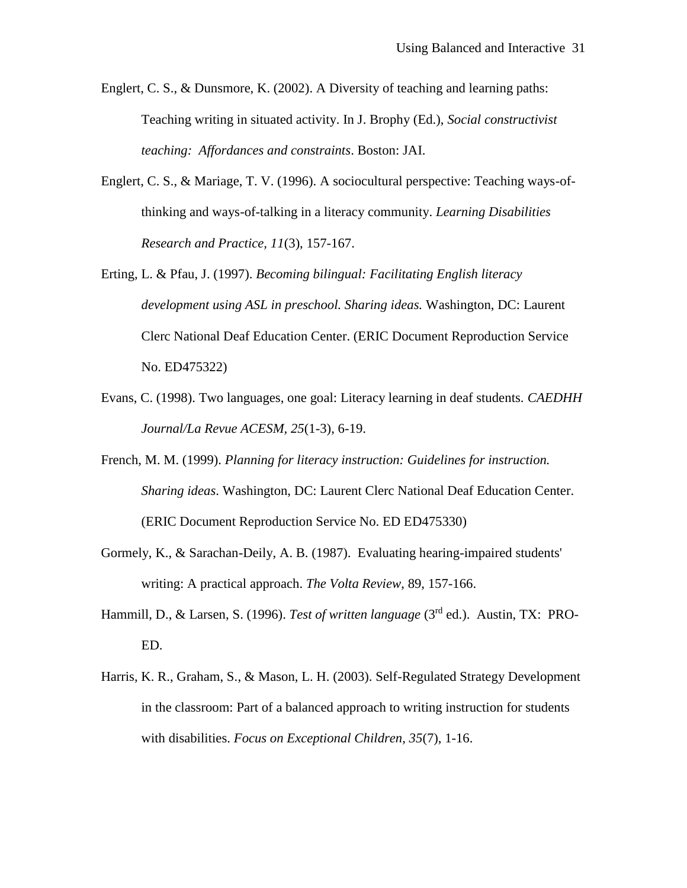- Englert, C. S., & Dunsmore, K. (2002). A Diversity of teaching and learning paths: Teaching writing in situated activity. In J. Brophy (Ed.), *Social constructivist teaching: Affordances and constraints*. Boston: JAI.
- Englert, C. S., & Mariage, T. V. (1996). A sociocultural perspective: Teaching ways-ofthinking and ways-of-talking in a literacy community. *Learning Disabilities Research and Practice, 11*(3), 157-167.
- Erting, L. & Pfau, J. (1997). *Becoming bilingual: Facilitating English literacy development using ASL in preschool. Sharing ideas.* Washington, DC: Laurent Clerc National Deaf Education Center. (ERIC Document Reproduction Service No. ED475322)
- Evans, C. (1998). Two languages, one goal: Literacy learning in deaf students. *CAEDHH Journal/La Revue ACESM, 25*(1-3), 6-19.
- French, M. M. (1999). *Planning for literacy instruction: Guidelines for instruction. Sharing ideas*. Washington, DC: Laurent Clerc National Deaf Education Center. (ERIC Document Reproduction Service No. ED ED475330)
- Gormely, K., & Sarachan-Deily, A. B. (1987). Evaluating hearing-impaired students' writing: A practical approach. *The Volta Review*, 89, 157-166.
- Hammill, D., & Larsen, S. (1996). *Test of written language* (3rd ed.). Austin, TX: PRO-ED.
- Harris, K. R., Graham, S., & Mason, L. H. (2003). Self-Regulated Strategy Development in the classroom: Part of a balanced approach to writing instruction for students with disabilities. *Focus on Exceptional Children, 35*(7), 1-16.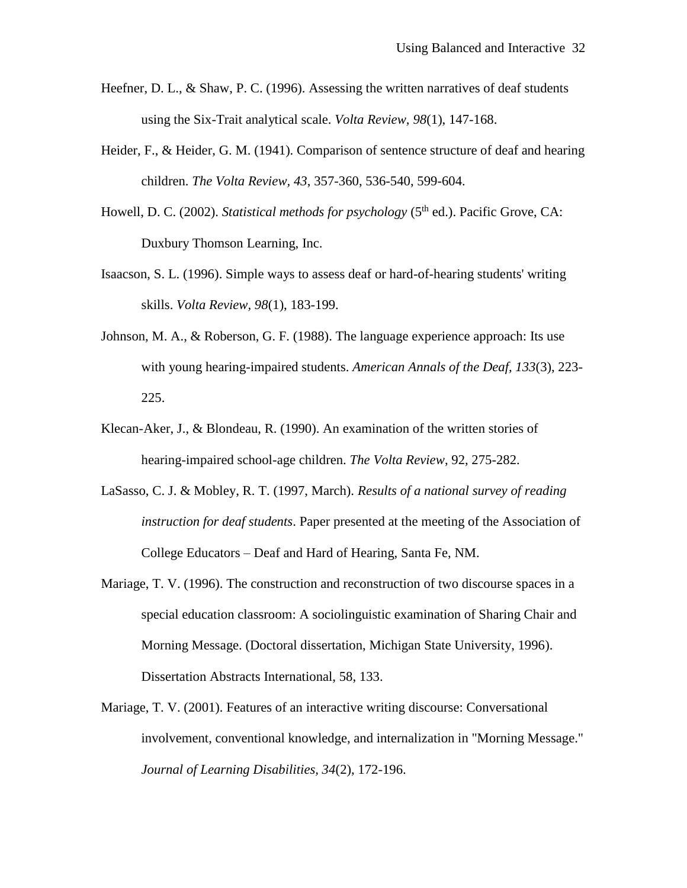- Heefner, D. L., & Shaw, P. C. (1996). Assessing the written narratives of deaf students using the Six-Trait analytical scale. *Volta Review, 98*(1), 147-168.
- Heider, F., & Heider, G. M. (1941). Comparison of sentence structure of deaf and hearing children. *The Volta Review, 43*, 357-360, 536-540, 599-604.
- Howell, D. C. (2002). *Statistical methods for psychology* (5<sup>th</sup> ed.). Pacific Grove, CA: Duxbury Thomson Learning, Inc.
- Isaacson, S. L. (1996). Simple ways to assess deaf or hard-of-hearing students' writing skills. *Volta Review, 98*(1), 183-199.
- Johnson, M. A., & Roberson, G. F. (1988). The language experience approach: Its use with young hearing-impaired students. *American Annals of the Deaf, 133*(3), 223- 225.
- Klecan-Aker, J., & Blondeau, R. (1990). An examination of the written stories of hearing-impaired school-age children. *The Volta Review*, 92, 275-282.
- LaSasso, C. J. & Mobley, R. T. (1997, March). *Results of a national survey of reading instruction for deaf students*. Paper presented at the meeting of the Association of College Educators – Deaf and Hard of Hearing, Santa Fe, NM.
- Mariage, T. V. (1996). The construction and reconstruction of two discourse spaces in a special education classroom: A sociolinguistic examination of Sharing Chair and Morning Message. (Doctoral dissertation, Michigan State University, 1996). Dissertation Abstracts International, 58, 133.
- Mariage, T. V. (2001). Features of an interactive writing discourse: Conversational involvement, conventional knowledge, and internalization in "Morning Message." *Journal of Learning Disabilities, 34*(2), 172-196.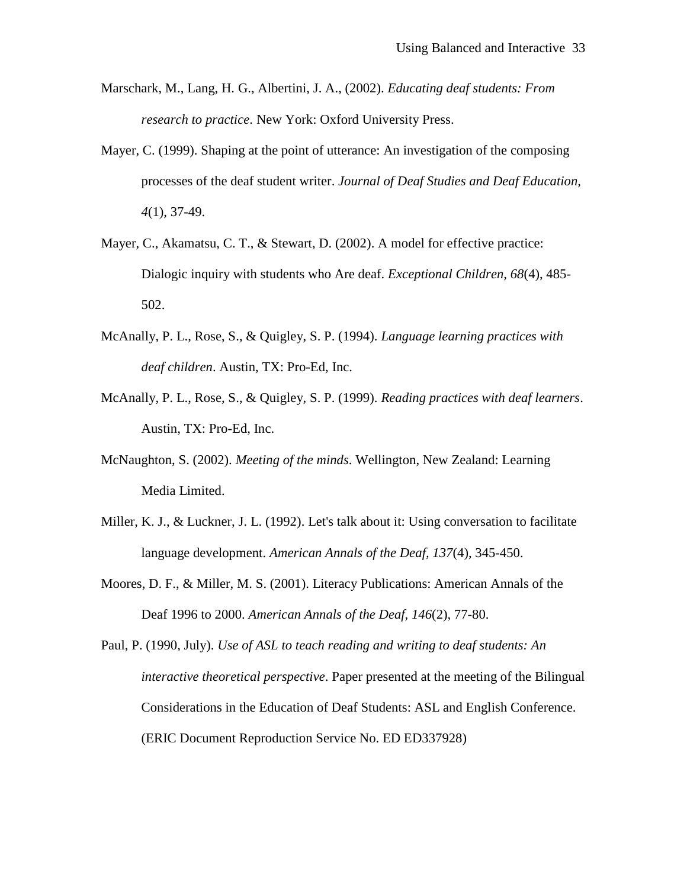- Marschark, M., Lang, H. G., Albertini, J. A., (2002). *Educating deaf students: From research to practice*. New York: Oxford University Press.
- Mayer, C. (1999). Shaping at the point of utterance: An investigation of the composing processes of the deaf student writer. *Journal of Deaf Studies and Deaf Education, 4*(1), 37-49.
- Mayer, C., Akamatsu, C. T., & Stewart, D. (2002). A model for effective practice: Dialogic inquiry with students who Are deaf. *Exceptional Children, 68*(4), 485- 502.
- McAnally, P. L., Rose, S., & Quigley, S. P. (1994). *Language learning practices with deaf children*. Austin, TX: Pro-Ed, Inc.
- McAnally, P. L., Rose, S., & Quigley, S. P. (1999). *Reading practices with deaf learners*. Austin, TX: Pro-Ed, Inc.
- McNaughton, S. (2002). *Meeting of the minds*. Wellington, New Zealand: Learning Media Limited.
- Miller, K. J., & Luckner, J. L. (1992). Let's talk about it: Using conversation to facilitate language development. *American Annals of the Deaf, 137*(4), 345-450.
- Moores, D. F., & Miller, M. S. (2001). Literacy Publications: American Annals of the Deaf 1996 to 2000. *American Annals of the Deaf, 146*(2), 77-80.

Paul, P. (1990, July). *Use of ASL to teach reading and writing to deaf students: An interactive theoretical perspective*. Paper presented at the meeting of the Bilingual Considerations in the Education of Deaf Students: ASL and English Conference. (ERIC Document Reproduction Service No. ED ED337928)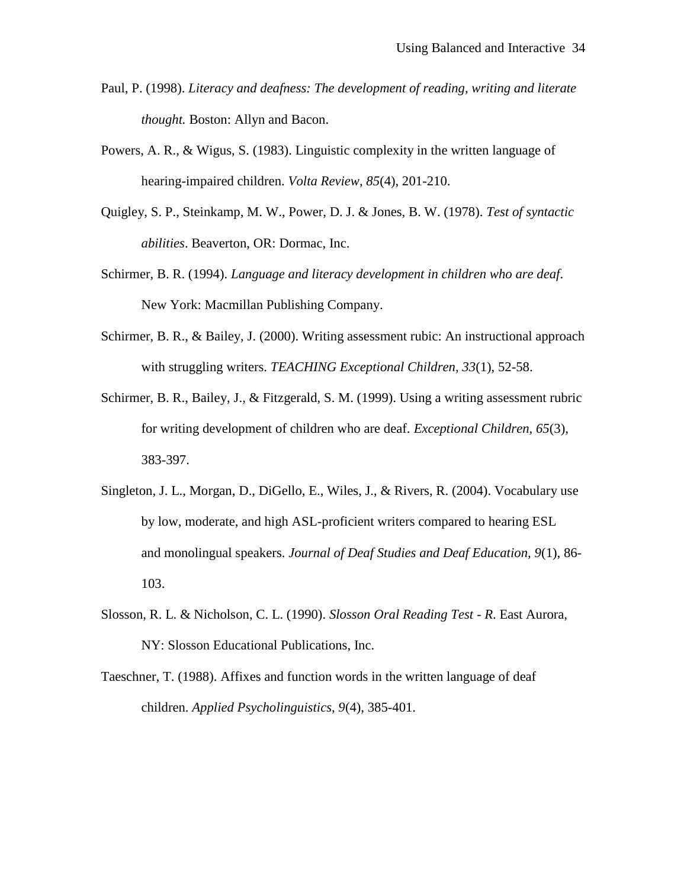- Paul, P. (1998). *Literacy and deafness: The development of reading, writing and literate thought.* Boston: Allyn and Bacon.
- Powers, A. R., & Wigus, S. (1983). Linguistic complexity in the written language of hearing-impaired children. *Volta Review, 85*(4), 201-210.
- Quigley, S. P., Steinkamp, M. W., Power, D. J. & Jones, B. W. (1978). *Test of syntactic abilities*. Beaverton, OR: Dormac, Inc.
- Schirmer, B. R. (1994). *Language and literacy development in children who are deaf*. New York: Macmillan Publishing Company.
- Schirmer, B. R., & Bailey, J. (2000). Writing assessment rubic: An instructional approach with struggling writers. *TEACHING Exceptional Children, 33*(1), 52-58.
- Schirmer, B. R., Bailey, J., & Fitzgerald, S. M. (1999). Using a writing assessment rubric for writing development of children who are deaf. *Exceptional Children, 65*(3), 383-397.
- Singleton, J. L., Morgan, D., DiGello, E., Wiles, J., & Rivers, R. (2004). Vocabulary use by low, moderate, and high ASL-proficient writers compared to hearing ESL and monolingual speakers. *Journal of Deaf Studies and Deaf Education, 9*(1), 86- 103.
- Slosson, R. L. & Nicholson, C. L. (1990). *Slosson Oral Reading Test - R*. East Aurora, NY: Slosson Educational Publications, Inc.
- Taeschner, T. (1988). Affixes and function words in the written language of deaf children. *Applied Psycholinguistics, 9*(4), 385-401.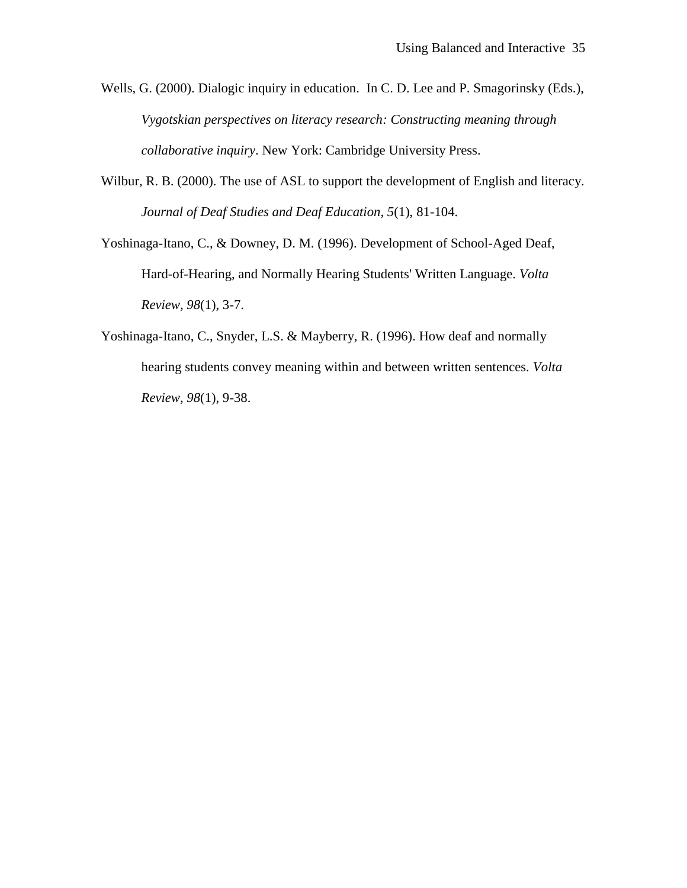- Wells, G. (2000). Dialogic inquiry in education. In C. D. Lee and P. Smagorinsky (Eds.), *Vygotskian perspectives on literacy research: Constructing meaning through collaborative inquiry*. New York: Cambridge University Press.
- Wilbur, R. B. (2000). The use of ASL to support the development of English and literacy. *Journal of Deaf Studies and Deaf Education, 5*(1), 81-104.
- Yoshinaga-Itano, C., & Downey, D. M. (1996). Development of School-Aged Deaf, Hard-of-Hearing, and Normally Hearing Students' Written Language. *Volta Review, 98*(1), 3-7.
- Yoshinaga-Itano, C., Snyder, L.S. & Mayberry, R. (1996). How deaf and normally hearing students convey meaning within and between written sentences. *Volta Review, 98*(1), 9-38.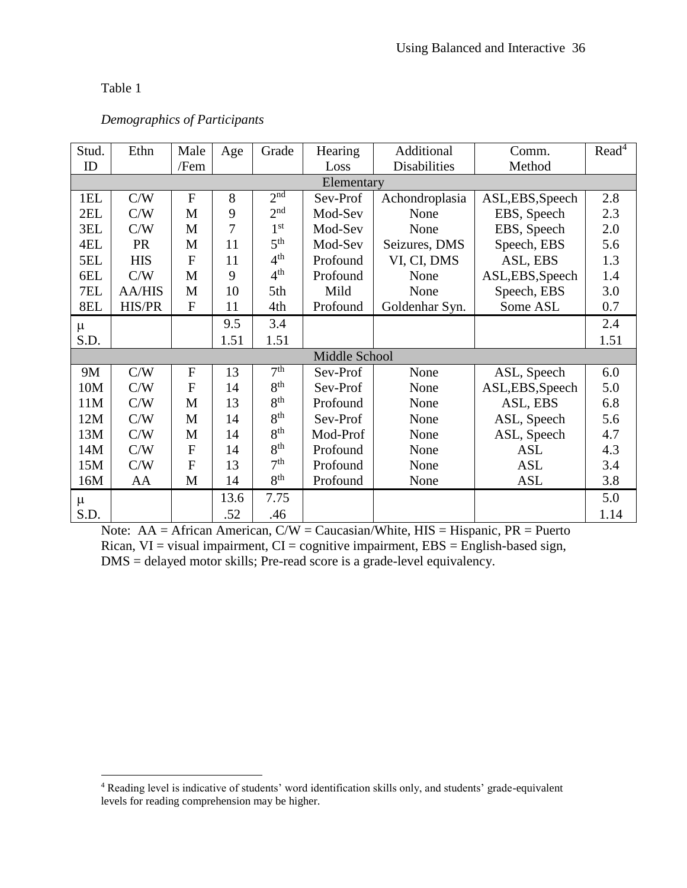$\overline{a}$ 

| Stud. | Ethn          | Male           | Age  | Grade           | Hearing       | Additional          | Comm.            | Read <sup>4</sup> |
|-------|---------------|----------------|------|-----------------|---------------|---------------------|------------------|-------------------|
| ID    |               | /Fem           |      |                 | Loss          | <b>Disabilities</b> | Method           |                   |
|       |               |                |      |                 | Elementary    |                     |                  |                   |
| 1EL   | C/W           | $\mathbf F$    | 8    | 2 <sup>nd</sup> | Sev-Prof      | Achondroplasia      | ASL, EBS, Speech | 2.8               |
| 2EL   | C/W           | M              | 9    | 2 <sup>nd</sup> | Mod-Sev       | None                | EBS, Speech      | 2.3               |
| 3EL   | C/W           | M              | 7    | 1 <sup>st</sup> | Mod-Sev       | None                | EBS, Speech      | 2.0               |
| 4EL   | <b>PR</b>     | M              | 11   | 5 <sup>th</sup> | Mod-Sev       | Seizures, DMS       | Speech, EBS      | 5.6               |
| 5EL   | <b>HIS</b>    | F              | 11   | 4 <sup>th</sup> | Profound      | VI, CI, DMS         | ASL, EBS         | 1.3               |
| 6EL   | C/W           | M              | 9    | 4 <sup>th</sup> | Profound      | None                | ASL, EBS, Speech | 1.4               |
| 7EL   | <b>AA/HIS</b> | M              | 10   | 5th             | Mild          | None                | Speech, EBS      | 3.0               |
| 8EL   | HIS/PR        | $\overline{F}$ | 11   | 4th             | Profound      | Goldenhar Syn.      | Some ASL         | 0.7               |
| $\mu$ |               |                | 9.5  | 3.4             |               |                     |                  | 2.4               |
| S.D.  |               |                | 1.51 | 1.51            |               |                     |                  | 1.51              |
|       |               |                |      |                 | Middle School |                     |                  |                   |
| 9M    | C/W           | F              | 13   | 7 <sup>th</sup> | Sev-Prof      | None                | ASL, Speech      | 6.0               |
| 10M   | C/W           | $\overline{F}$ | 14   | 8 <sup>th</sup> | Sev-Prof      | None                | ASL, EBS, Speech | 5.0               |
| 11M   | C/W           | M              | 13   | 8 <sup>th</sup> | Profound      | None                | ASL, EBS         | 6.8               |
| 12M   | C/W           | M              | 14   | 8 <sup>th</sup> | Sev-Prof      | None                | ASL, Speech      | 5.6               |
| 13M   | C/W           | M              | 14   | 8 <sup>th</sup> | Mod-Prof      | None                | ASL, Speech      | 4.7               |
| 14M   | C/W           | F              | 14   | 8 <sup>th</sup> | Profound      | None                | <b>ASL</b>       | 4.3               |
| 15M   | C/W           | F              | 13   | 7 <sup>th</sup> | Profound      | None                | <b>ASL</b>       | 3.4               |
| 16M   | AA            | M              | 14   | 8 <sup>th</sup> | Profound      | None                | ASL              | 3.8               |
| μ     |               |                | 13.6 | 7.75            |               |                     |                  | 5.0               |
| S.D.  |               |                | .52  | .46             |               |                     |                  | 1.14              |

# *Demographics of Participants*

Note:  $AA = African American, C/W = Caucasian/White, HIS = Hispanic, PR = Puerto$ Rican,  $VI = visual impairment$ ,  $CI = cognitive impairment$ ,  $EBS = English-based sign$ , DMS = delayed motor skills; Pre-read score is a grade-level equivalency.

<sup>&</sup>lt;sup>4</sup> Reading level is indicative of students' word identification skills only, and students' grade-equivalent levels for reading comprehension may be higher.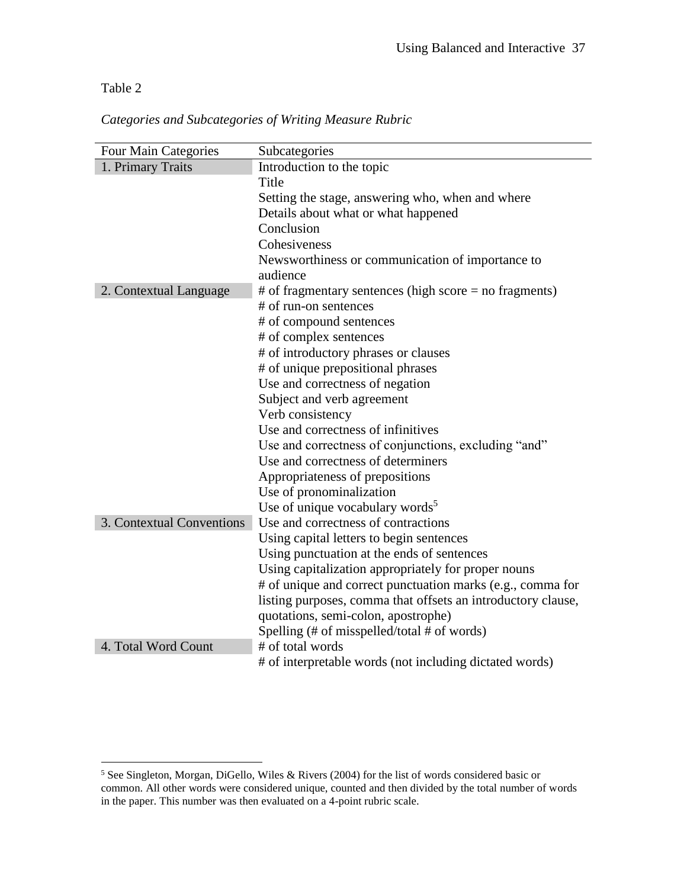$\overline{a}$ 

|  | Categories and Subcategories of Writing Measure Rubric |  |  |  |  |  |
|--|--------------------------------------------------------|--|--|--|--|--|
|--|--------------------------------------------------------|--|--|--|--|--|

| <b>Four Main Categories</b> | Subcategories                                                |
|-----------------------------|--------------------------------------------------------------|
| 1. Primary Traits           | Introduction to the topic                                    |
|                             | Title                                                        |
|                             | Setting the stage, answering who, when and where             |
|                             | Details about what or what happened                          |
|                             | Conclusion                                                   |
|                             | Cohesiveness                                                 |
|                             | Newsworthiness or communication of importance to             |
|                             | audience                                                     |
| 2. Contextual Language      | $#$ of fragmentary sentences (high score = no fragments)     |
|                             | # of run-on sentences                                        |
|                             | # of compound sentences                                      |
|                             | # of complex sentences                                       |
|                             | # of introductory phrases or clauses                         |
|                             | # of unique prepositional phrases                            |
|                             | Use and correctness of negation                              |
|                             | Subject and verb agreement                                   |
|                             | Verb consistency                                             |
|                             | Use and correctness of infinitives                           |
|                             | Use and correctness of conjunctions, excluding "and"         |
|                             | Use and correctness of determiners                           |
|                             | Appropriateness of prepositions                              |
|                             | Use of pronominalization                                     |
|                             | Use of unique vocabulary words <sup>5</sup>                  |
| 3. Contextual Conventions   | Use and correctness of contractions                          |
|                             | Using capital letters to begin sentences                     |
|                             | Using punctuation at the ends of sentences                   |
|                             | Using capitalization appropriately for proper nouns          |
|                             | # of unique and correct punctuation marks (e.g., comma for   |
|                             | listing purposes, comma that offsets an introductory clause, |
|                             | quotations, semi-colon, apostrophe)                          |
|                             | Spelling (# of misspelled/total # of words)                  |
| 4. Total Word Count         | # of total words                                             |
|                             | # of interpretable words (not including dictated words)      |

<sup>&</sup>lt;sup>5</sup> See Singleton, Morgan, DiGello, Wiles & Rivers (2004) for the list of words considered basic or common. All other words were considered unique, counted and then divided by the total number of words in the paper. This number was then evaluated on a 4-point rubric scale.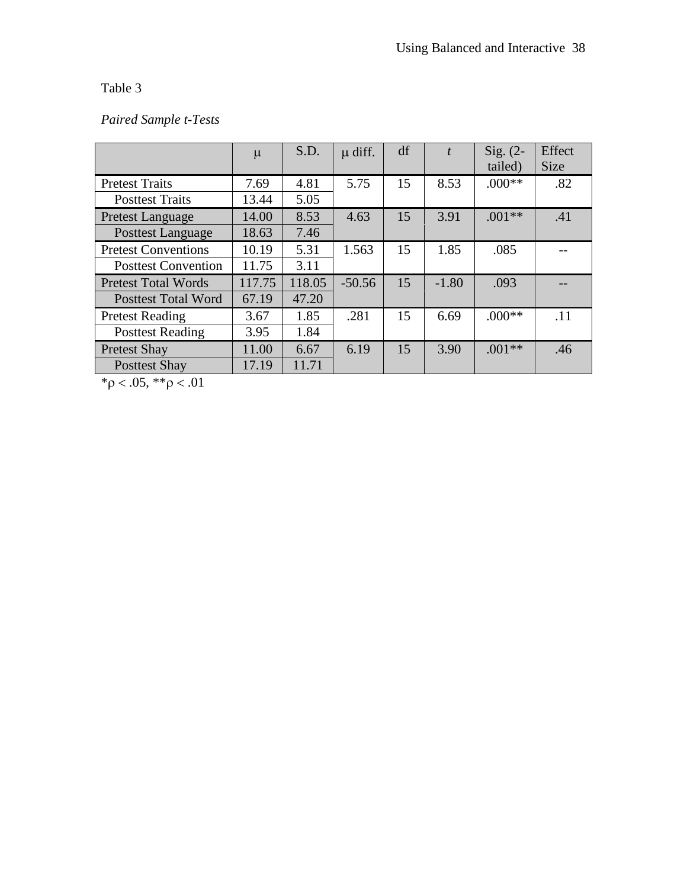# *Paired Sample t-Tests*

|                            | $\mu$  | S.D.   | $\mu$ diff. | df |         | $Sig. (2-$ | Effect      |
|----------------------------|--------|--------|-------------|----|---------|------------|-------------|
|                            |        |        |             |    |         | tailed)    | <b>Size</b> |
| <b>Pretest Traits</b>      | 7.69   | 4.81   | 5.75        | 15 | 8.53    | $.000**$   | .82         |
| <b>Posttest Traits</b>     | 13.44  | 5.05   |             |    |         |            |             |
| <b>Pretest Language</b>    | 14.00  | 8.53   | 4.63        | 15 | 3.91    | $.001**$   | .41         |
| <b>Posttest Language</b>   | 18.63  | 7.46   |             |    |         |            |             |
| <b>Pretest Conventions</b> | 10.19  | 5.31   | 1.563       | 15 | 1.85    | .085       |             |
| <b>Posttest Convention</b> | 11.75  | 3.11   |             |    |         |            |             |
| <b>Pretest Total Words</b> | 117.75 | 118.05 | $-50.56$    | 15 | $-1.80$ | .093       |             |
| <b>Posttest Total Word</b> | 67.19  | 47.20  |             |    |         |            |             |
| <b>Pretest Reading</b>     | 3.67   | 1.85   | .281        | 15 | 6.69    | $.000**$   | .11         |
| <b>Posttest Reading</b>    | 3.95   | 1.84   |             |    |         |            |             |
| <b>Pretest Shay</b>        | 11.00  | 6.67   | 6.19        | 15 | 3.90    | $.001**$   | .46         |
| <b>Posttest Shay</b>       | 17.19  | 11.71  |             |    |         |            |             |

 $*\rho < .05, **\rho < .01$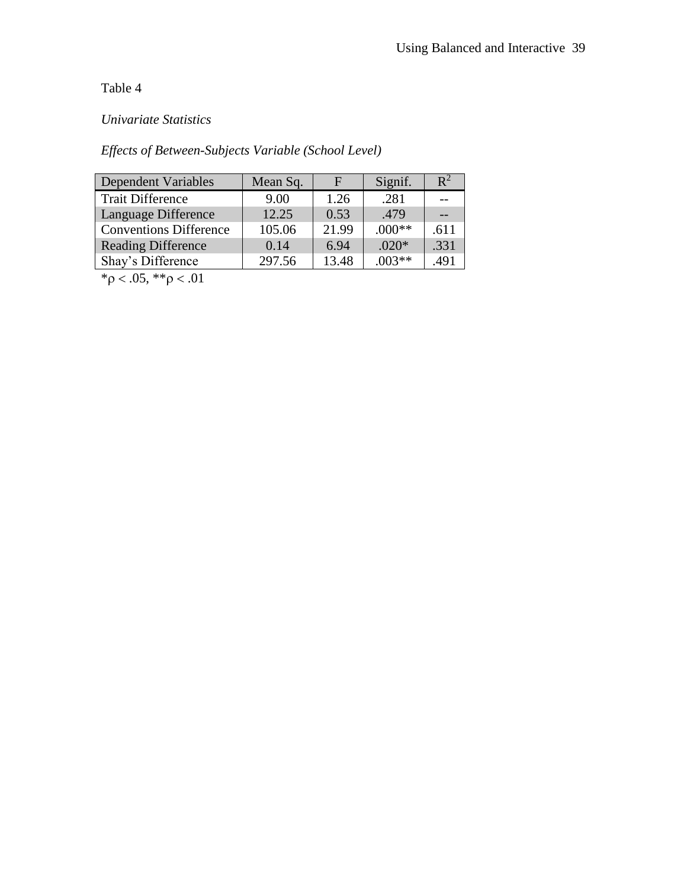# *Univariate Statistics*

# *Effects of Between-Subjects Variable (School Level)*

| Dependent Variables           | Mean Sq. | F     | Signif.  | $\mathbb{R}^2$ |
|-------------------------------|----------|-------|----------|----------------|
| <b>Trait Difference</b>       | 9.00     | 1.26  | .281     |                |
| Language Difference           | 12.25    | 0.53  | .479     |                |
| <b>Conventions Difference</b> | 105.06   | 21.99 | $.000**$ | .611           |
| <b>Reading Difference</b>     | 0.14     | 6.94  | $.020*$  | .331           |
| Shay's Difference             | 297.56   | 13.48 | $.003**$ | .491           |

 $*\rho < .05, **\rho < .01$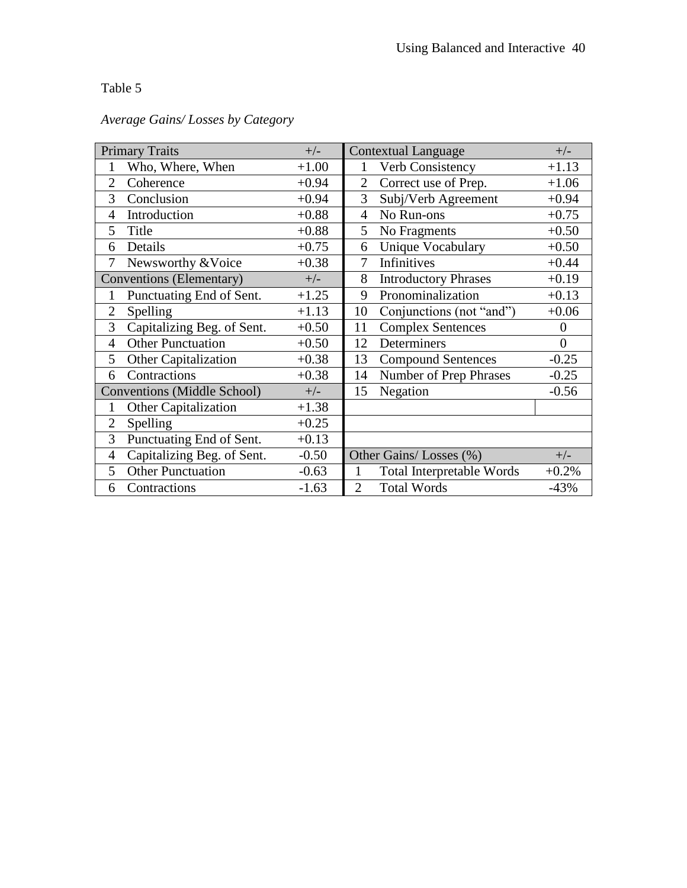|                | <b>Primary Traits</b>              | $+/-$   |                | <b>Contextual Language</b>       | $+/-$          |
|----------------|------------------------------------|---------|----------------|----------------------------------|----------------|
|                | Who, Where, When                   | $+1.00$ | 1              | Verb Consistency                 | $+1.13$        |
| 2              | Coherence                          | $+0.94$ | $\overline{2}$ | Correct use of Prep.             | $+1.06$        |
| 3              | Conclusion                         | $+0.94$ | 3              | Subj/Verb Agreement              | $+0.94$        |
| 4              | Introduction                       | $+0.88$ | 4              | No Run-ons                       | $+0.75$        |
| 5              | Title                              | $+0.88$ | 5              | No Fragments                     | $+0.50$        |
| 6              | Details                            | $+0.75$ | 6              | <b>Unique Vocabulary</b>         | $+0.50$        |
| $\tau$         | Newsworthy & Voice                 | $+0.38$ | 7              | Infinitives                      | $+0.44$        |
|                | Conventions (Elementary)           | $+/-$   | 8              | <b>Introductory Phrases</b>      | $+0.19$        |
| 1              | Punctuating End of Sent.           | $+1.25$ | 9              | Pronominalization                | $+0.13$        |
| $\overline{2}$ | Spelling                           | $+1.13$ | 10             | Conjunctions (not "and")         | $+0.06$        |
| 3              | Capitalizing Beg. of Sent.         | $+0.50$ | 11             | <b>Complex Sentences</b>         | $\theta$       |
| $\overline{4}$ | <b>Other Punctuation</b>           | $+0.50$ | 12             | Determiners                      | $\overline{0}$ |
| 5              | Other Capitalization               | $+0.38$ | 13             | <b>Compound Sentences</b>        | $-0.25$        |
| 6              | Contractions                       | $+0.38$ | 14             | Number of Prep Phrases           | $-0.25$        |
|                | <b>Conventions (Middle School)</b> | $+/-$   | 15             | Negation                         | $-0.56$        |
| 1              | <b>Other Capitalization</b>        | $+1.38$ |                |                                  |                |
| $\overline{2}$ | Spelling                           | $+0.25$ |                |                                  |                |
| 3              | Punctuating End of Sent.           | $+0.13$ |                |                                  |                |
| 4              | Capitalizing Beg. of Sent.         | $-0.50$ |                | Other Gains/Losses (%)           | $+/-$          |
| 5              | <b>Other Punctuation</b>           | $-0.63$ | 1              | <b>Total Interpretable Words</b> | $+0.2%$        |
| 6              | Contractions                       | $-1.63$ | $\overline{2}$ | <b>Total Words</b>               | $-43%$         |

# *Average Gains/ Losses by Category*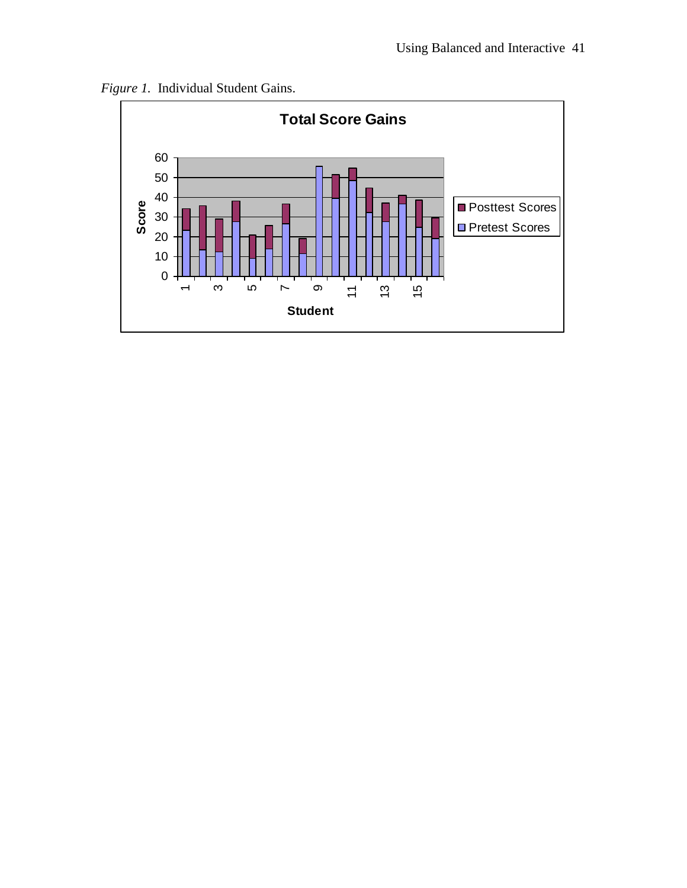

*Figure 1.* Individual Student Gains.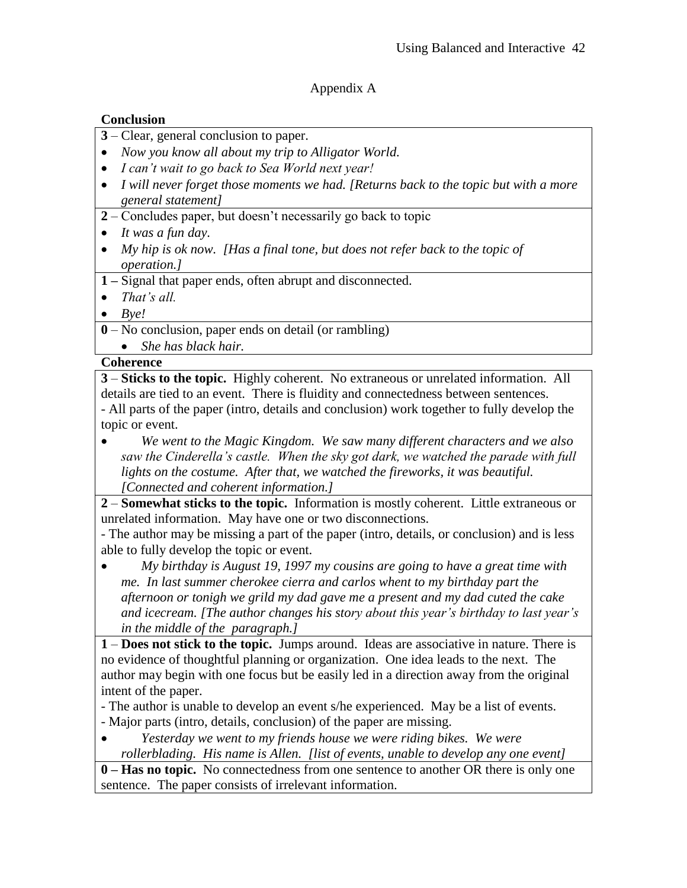## Appendix A

## **Conclusion**

- **3** Clear, general conclusion to paper.
- *Now you know all about my trip to Alligator World.*
- *I can't wait to go back to Sea World next year!*
- *I will never forget those moments we had. [Returns back to the topic but with a more general statement]*
- **2** Concludes paper, but doesn't necessarily go back to topic
- *It was a fun day.*
- *My hip is ok now. [Has a final tone, but does not refer back to the topic of operation.]*
- **1 –** Signal that paper ends, often abrupt and disconnected.
- *That's all.*
- *Bye!*
- **0** No conclusion, paper ends on detail (or rambling)
	- *She has black hair.*

## **Coherence**

**3** – **Sticks to the topic.** Highly coherent. No extraneous or unrelated information. All details are tied to an event. There is fluidity and connectedness between sentences. - All parts of the paper (intro, details and conclusion) work together to fully develop the topic or event.

 *We went to the Magic Kingdom. We saw many different characters and we also saw the Cinderella's castle. When the sky got dark, we watched the parade with full lights on the costume. After that, we watched the fireworks, it was beautiful. [Connected and coherent information.]*

**2** – **Somewhat sticks to the topic.** Information is mostly coherent. Little extraneous or unrelated information. May have one or two disconnections.

- The author may be missing a part of the paper (intro, details, or conclusion) and is less able to fully develop the topic or event.

 *My birthday is August 19, 1997 my cousins are going to have a great time with me. In last summer cherokee cierra and carlos whent to my birthday part the afternoon or tonigh we grild my dad gave me a present and my dad cuted the cake and icecream. [The author changes his story about this year's birthday to last year's in the middle of the paragraph.]*

**1** – **Does not stick to the topic.** Jumps around. Ideas are associative in nature. There is no evidence of thoughtful planning or organization. One idea leads to the next. The author may begin with one focus but be easily led in a direction away from the original intent of the paper.

- The author is unable to develop an event s/he experienced. May be a list of events. - Major parts (intro, details, conclusion) of the paper are missing.

 *Yesterday we went to my friends house we were riding bikes. We were rollerblading. His name is Allen. [list of events, unable to develop any one event]*

**0 – Has no topic.** No connectedness from one sentence to another OR there is only one sentence. The paper consists of irrelevant information.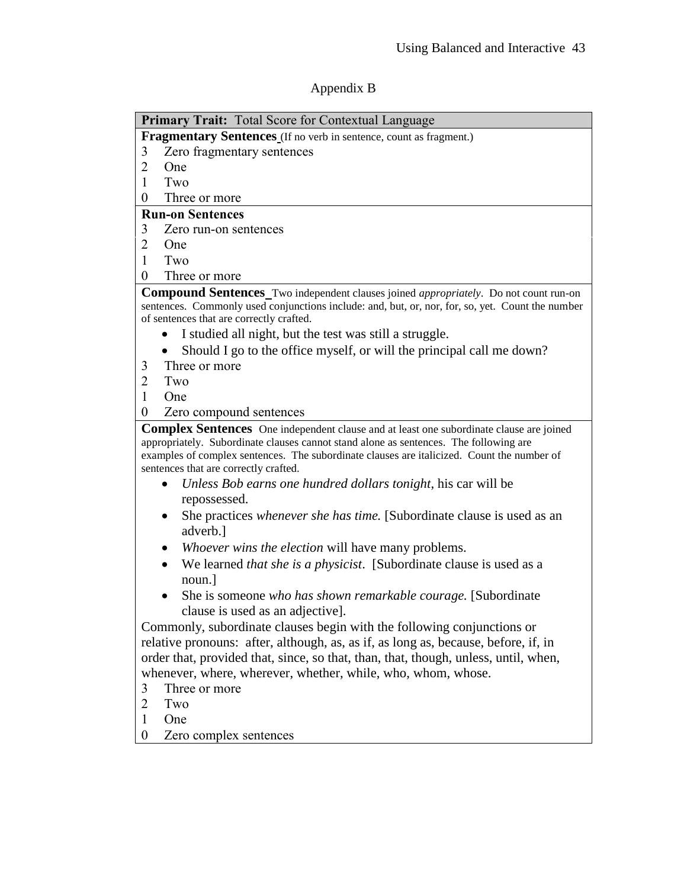# Appendix B

| <b>Primary Trait:</b> Total Score for Contextual Language                                                                                                                                                                                                                                                                      |  |  |  |  |  |
|--------------------------------------------------------------------------------------------------------------------------------------------------------------------------------------------------------------------------------------------------------------------------------------------------------------------------------|--|--|--|--|--|
| Fragmentary Sentences (If no verb in sentence, count as fragment.)                                                                                                                                                                                                                                                             |  |  |  |  |  |
| Zero fragmentary sentences<br>3                                                                                                                                                                                                                                                                                                |  |  |  |  |  |
| $\overline{2}$<br>One                                                                                                                                                                                                                                                                                                          |  |  |  |  |  |
| Two<br>1                                                                                                                                                                                                                                                                                                                       |  |  |  |  |  |
| 0<br>Three or more                                                                                                                                                                                                                                                                                                             |  |  |  |  |  |
| <b>Run-on Sentences</b>                                                                                                                                                                                                                                                                                                        |  |  |  |  |  |
| 3<br>Zero run-on sentences                                                                                                                                                                                                                                                                                                     |  |  |  |  |  |
| $\overline{2}$<br><b>One</b>                                                                                                                                                                                                                                                                                                   |  |  |  |  |  |
| Two<br>1                                                                                                                                                                                                                                                                                                                       |  |  |  |  |  |
| $\overline{0}$<br>Three or more                                                                                                                                                                                                                                                                                                |  |  |  |  |  |
| <b>Compound Sentences</b> Two independent clauses joined <i>appropriately</i> . Do not count run-on                                                                                                                                                                                                                            |  |  |  |  |  |
| sentences. Commonly used conjunctions include: and, but, or, nor, for, so, yet. Count the number                                                                                                                                                                                                                               |  |  |  |  |  |
| of sentences that are correctly crafted.                                                                                                                                                                                                                                                                                       |  |  |  |  |  |
| I studied all night, but the test was still a struggle.                                                                                                                                                                                                                                                                        |  |  |  |  |  |
| Should I go to the office myself, or will the principal call me down?<br>$\bullet$                                                                                                                                                                                                                                             |  |  |  |  |  |
| Three or more<br>3                                                                                                                                                                                                                                                                                                             |  |  |  |  |  |
| $\overline{2}$<br>Two                                                                                                                                                                                                                                                                                                          |  |  |  |  |  |
| 1<br>One                                                                                                                                                                                                                                                                                                                       |  |  |  |  |  |
| 0<br>Zero compound sentences                                                                                                                                                                                                                                                                                                   |  |  |  |  |  |
| <b>Complex Sentences</b> One independent clause and at least one subordinate clause are joined<br>appropriately. Subordinate clauses cannot stand alone as sentences. The following are<br>examples of complex sentences. The subordinate clauses are italicized. Count the number of<br>sentences that are correctly crafted. |  |  |  |  |  |
| Unless Bob earns one hundred dollars tonight, his car will be<br>$\bullet$                                                                                                                                                                                                                                                     |  |  |  |  |  |
| repossessed.                                                                                                                                                                                                                                                                                                                   |  |  |  |  |  |
| She practices whenever she has time. [Subordinate clause is used as an<br>adverb.]                                                                                                                                                                                                                                             |  |  |  |  |  |
| Whoever wins the election will have many problems.                                                                                                                                                                                                                                                                             |  |  |  |  |  |
| We learned <i>that she is a physicist</i> . [Subordinate clause is used as a<br>$\bullet$                                                                                                                                                                                                                                      |  |  |  |  |  |
| noun.]                                                                                                                                                                                                                                                                                                                         |  |  |  |  |  |
| She is someone who has shown remarkable courage. [Subordinate]<br>clause is used as an adjective].                                                                                                                                                                                                                             |  |  |  |  |  |
| Commonly, subordinate clauses begin with the following conjunctions or                                                                                                                                                                                                                                                         |  |  |  |  |  |
| relative pronouns: after, although, as, as if, as long as, because, before, if, in                                                                                                                                                                                                                                             |  |  |  |  |  |
| order that, provided that, since, so that, than, that, though, unless, until, when,                                                                                                                                                                                                                                            |  |  |  |  |  |
| whenever, where, wherever, whether, while, who, whom, whose.                                                                                                                                                                                                                                                                   |  |  |  |  |  |
| 3<br>Three or more                                                                                                                                                                                                                                                                                                             |  |  |  |  |  |

- 2 Two
- 1 One
- 0 Zero complex sentences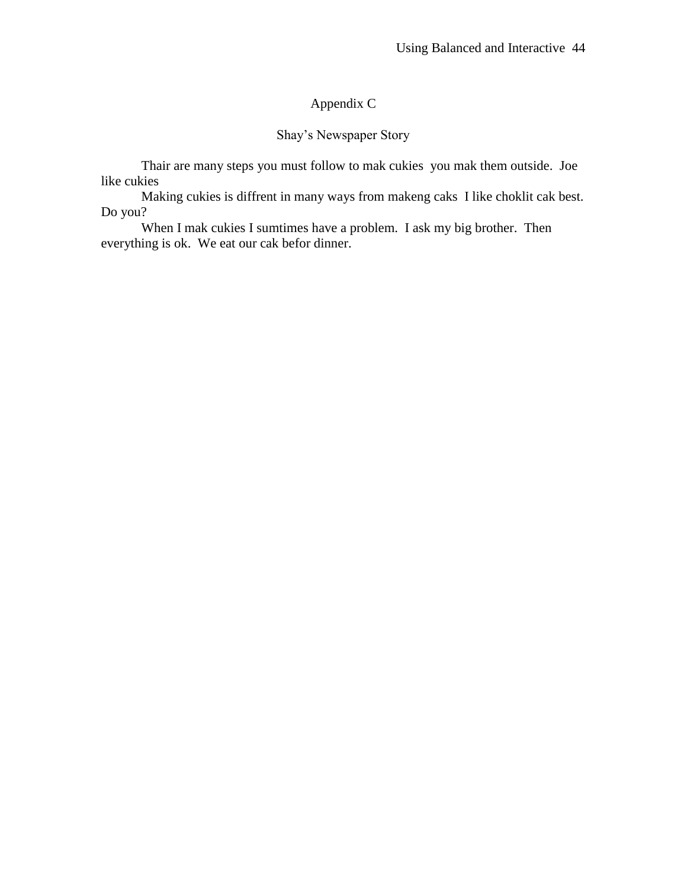# Appendix C

## Shay's Newspaper Story

Thair are many steps you must follow to mak cukies you mak them outside. Joe like cukies

Making cukies is diffrent in many ways from makeng caks I like choklit cak best. Do you?

When I mak cukies I sumtimes have a problem. I ask my big brother. Then everything is ok. We eat our cak befor dinner.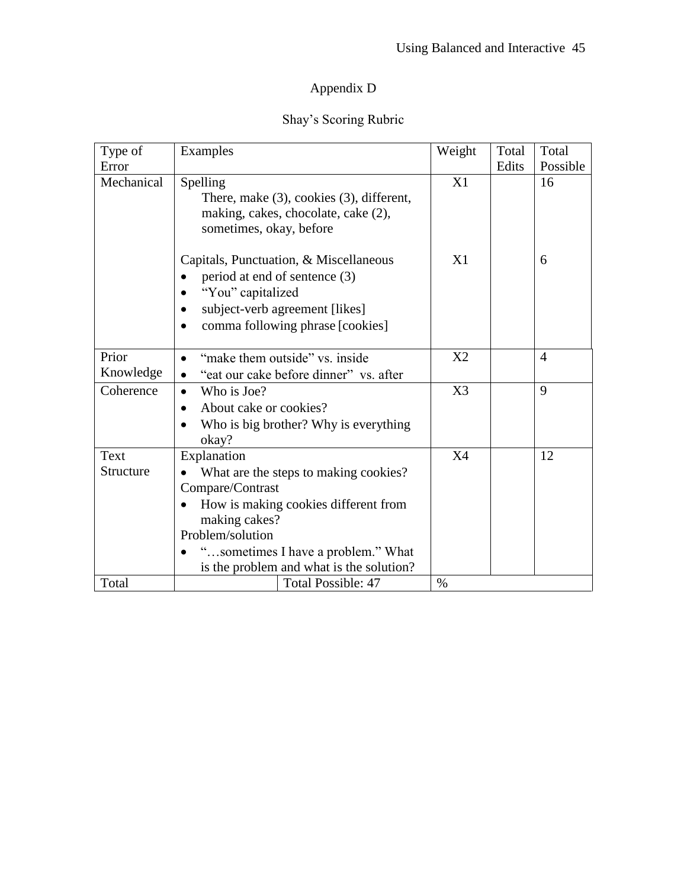# Appendix D

# Shay's Scoring Rubric

| Type of            | Examples                                                                                                                                                                                                                                | Weight    | Total | Total          |
|--------------------|-----------------------------------------------------------------------------------------------------------------------------------------------------------------------------------------------------------------------------------------|-----------|-------|----------------|
| Error              |                                                                                                                                                                                                                                         |           | Edits | Possible       |
| Mechanical         | Spelling<br>There, make $(3)$ , cookies $(3)$ , different,<br>making, cakes, chocolate, cake (2),<br>sometimes, okay, before                                                                                                            | X1        |       | 16             |
|                    | Capitals, Punctuation, & Miscellaneous<br>period at end of sentence (3)<br>"You" capitalized<br>subject-verb agreement [likes]<br>comma following phrase [cookies]                                                                      | X1        |       | 6              |
| Prior<br>Knowledge | "make them outside" vs. inside<br>$\bullet$<br>"eat our cake before dinner" vs. after                                                                                                                                                   | X2        |       | $\overline{4}$ |
| Coherence          | Who is Joe?<br>$\bullet$<br>About cake or cookies?<br>$\bullet$<br>Who is big brother? Why is everything<br>okay?                                                                                                                       | X3        |       | 9              |
| Text<br>Structure  | Explanation<br>What are the steps to making cookies?<br>Compare/Contrast<br>How is making cookies different from<br>making cakes?<br>Problem/solution<br>"sometimes I have a problem." What<br>is the problem and what is the solution? | <b>X4</b> |       | 12             |
| Total              | <b>Total Possible: 47</b>                                                                                                                                                                                                               | $\%$      |       |                |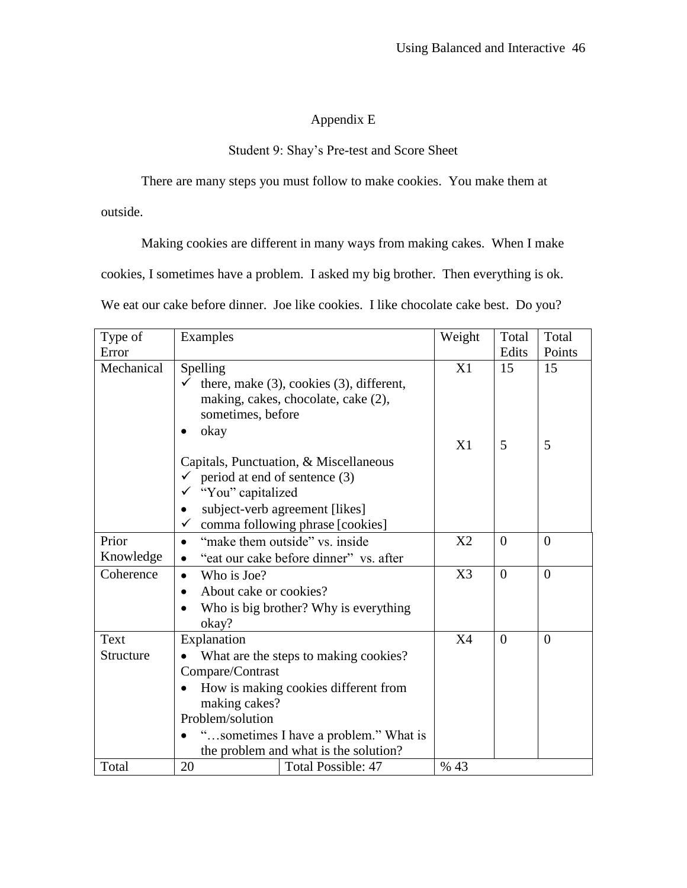# Appendix E

## Student 9: Shay's Pre-test and Score Sheet

There are many steps you must follow to make cookies. You make them at

outside.

Making cookies are different in many ways from making cakes. When I make

cookies, I sometimes have a problem. I asked my big brother. Then everything is ok.

We eat our cake before dinner. Joe like cookies. I like chocolate cake best. Do you?

| Type of    | Examples                             | Weight                                         | Total | Total          |                |
|------------|--------------------------------------|------------------------------------------------|-------|----------------|----------------|
| Error      |                                      |                                                | Edits | Points         |                |
| Mechanical | Spelling                             |                                                | X1    | 15             | 15             |
|            |                                      | there, make $(3)$ , cookies $(3)$ , different, |       |                |                |
|            |                                      | making, cakes, chocolate, cake (2),            |       |                |                |
|            | sometimes, before                    |                                                |       |                |                |
|            | okay                                 |                                                |       |                |                |
|            |                                      |                                                | X1    | 5              | 5              |
|            |                                      | Capitals, Punctuation, & Miscellaneous         |       |                |                |
|            | period at end of sentence (3)        |                                                |       |                |                |
|            | "You" capitalized                    |                                                |       |                |                |
|            | ٠                                    | subject-verb agreement [likes]                 |       |                |                |
|            | $\checkmark$                         | comma following phrase [cookies]               |       |                |                |
| Prior      | $\bullet$                            | "make them outside" vs. inside                 | X2    | $\overline{0}$ | $\overline{0}$ |
| Knowledge  | $\bullet$                            | "eat our cake before dinner" vs. after         |       |                |                |
| Coherence  | Who is Joe?<br>$\bullet$             |                                                | X3    | $\theta$       | $\overline{0}$ |
|            | About cake or cookies?<br>$\bullet$  |                                                |       |                |                |
|            |                                      | Who is big brother? Why is everything          |       |                |                |
|            | okay?                                |                                                |       |                |                |
| Text       | Explanation                          |                                                | X4    | $\overline{0}$ | $\overline{0}$ |
| Structure  |                                      | What are the steps to making cookies?          |       |                |                |
|            | Compare/Contrast                     |                                                |       |                |                |
|            | How is making cookies different from |                                                |       |                |                |
|            | making cakes?                        |                                                |       |                |                |
|            | Problem/solution                     |                                                |       |                |                |
|            |                                      | "sometimes I have a problem." What is          |       |                |                |
|            |                                      | the problem and what is the solution?          |       |                |                |
| Total      | 20                                   | <b>Total Possible: 47</b>                      | % 43  |                |                |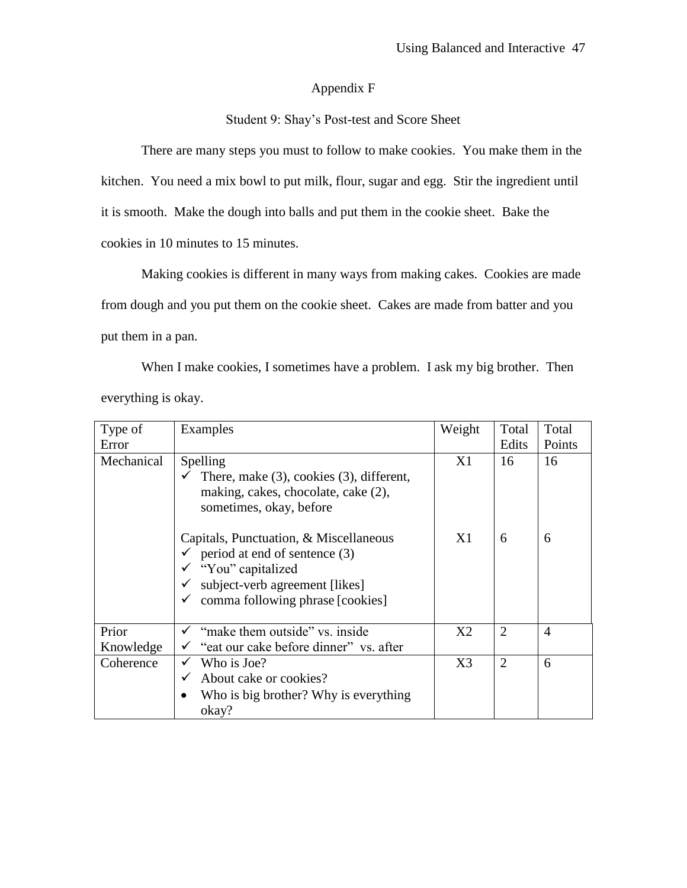### Appendix F

### Student 9: Shay's Post-test and Score Sheet

There are many steps you must to follow to make cookies. You make them in the kitchen. You need a mix bowl to put milk, flour, sugar and egg. Stir the ingredient until it is smooth. Make the dough into balls and put them in the cookie sheet. Bake the cookies in 10 minutes to 15 minutes.

Making cookies is different in many ways from making cakes. Cookies are made from dough and you put them on the cookie sheet. Cakes are made from batter and you put them in a pan.

When I make cookies, I sometimes have a problem. I ask my big brother. Then everything is okay.

| Type of<br>Error   | Examples                                                                                                                                                                                                                                  | Weight         | Total<br>Edits | Total<br>Points |
|--------------------|-------------------------------------------------------------------------------------------------------------------------------------------------------------------------------------------------------------------------------------------|----------------|----------------|-----------------|
| Mechanical         | Spelling<br>There, make $(3)$ , cookies $(3)$ , different,<br>making, cakes, chocolate, cake (2),<br>sometimes, okay, before<br>Capitals, Punctuation, & Miscellaneous<br>$\checkmark$ period at end of sentence (3)<br>"You" capitalized |                | 16<br>6        | 16<br>6         |
|                    | subject-verb agreement [likes]<br>comma following phrase [cookies]                                                                                                                                                                        |                |                |                 |
| Prior<br>Knowledge | "make them outside" vs. inside"<br>"eat our cake before dinner" vs. after                                                                                                                                                                 | X <sub>2</sub> | $\overline{2}$ | 4               |
| Coherence          | Who is Joe?<br>$\checkmark$<br>About cake or cookies?<br>$\checkmark$<br>Who is big brother? Why is everything<br>okay?                                                                                                                   | X <sub>3</sub> | $\overline{2}$ | 6               |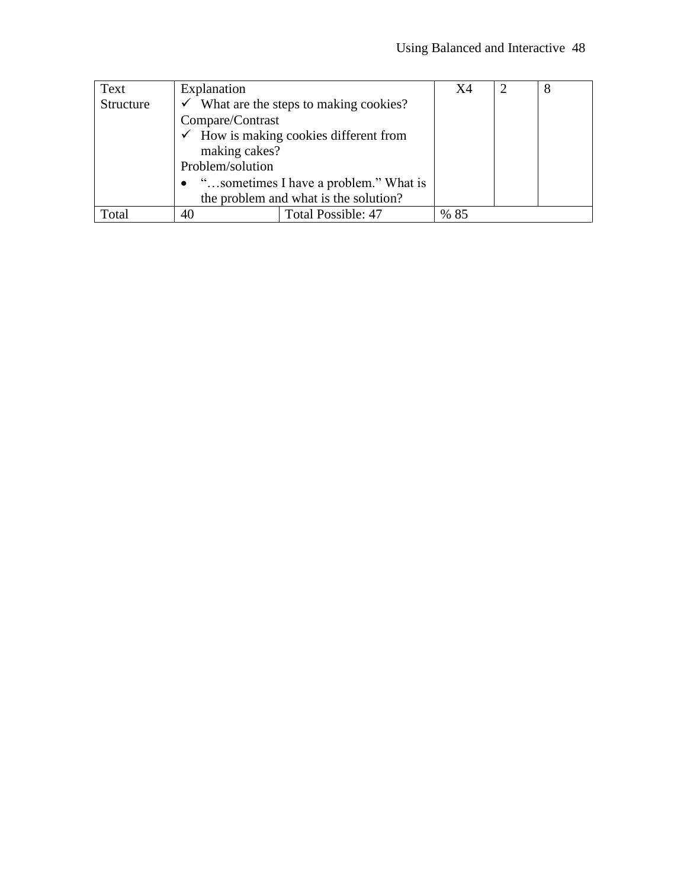| Text      | Explanation                                        |                                                   | X4   | 8 |
|-----------|----------------------------------------------------|---------------------------------------------------|------|---|
| Structure | $\checkmark$ What are the steps to making cookies? |                                                   |      |   |
|           | Compare/Contrast                                   |                                                   |      |   |
|           |                                                    | $\checkmark$ How is making cookies different from |      |   |
|           | making cakes?                                      |                                                   |      |   |
|           | Problem/solution                                   |                                                   |      |   |
|           | "sometimes I have a problem." What is<br>$\bullet$ |                                                   |      |   |
|           | the problem and what is the solution?              |                                                   |      |   |
| Total     | 40                                                 | <b>Total Possible: 47</b>                         | % 85 |   |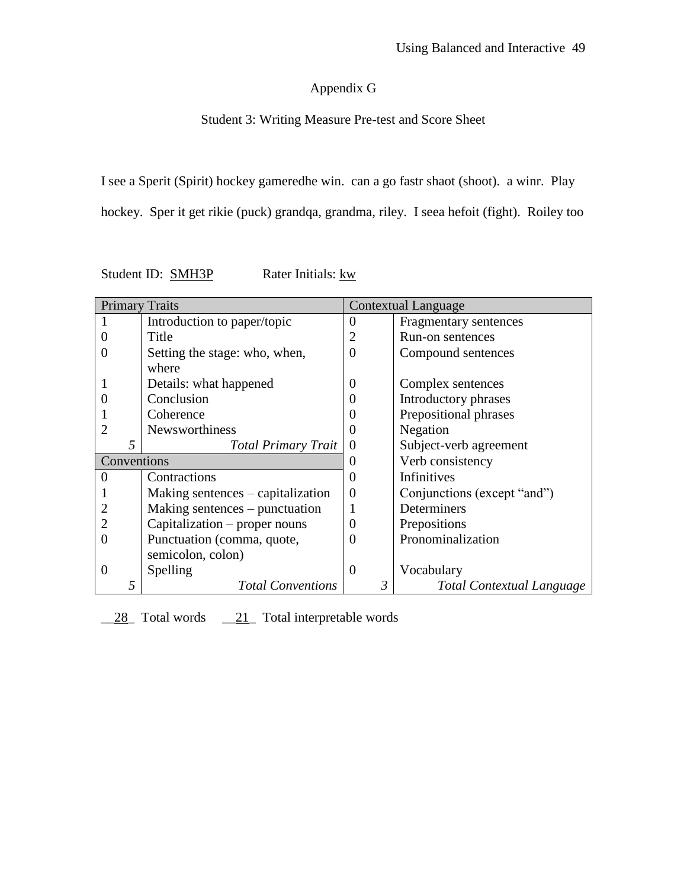# Appendix G

# Student 3: Writing Measure Pre-test and Score Sheet

I see a Sperit (Spirit) hockey gameredhe win. can a go fastr shaot (shoot). a winr. Play

hockey. Sper it get rikie (puck) grandqa, grandma, riley. I seea hefoit (fight). Roiley too

| Student ID: SMH3P | Rater Initials: kw |
|-------------------|--------------------|
|                   |                    |

| <b>Primary Traits</b> |                                   | <b>Contextual Language</b> |                             |
|-----------------------|-----------------------------------|----------------------------|-----------------------------|
|                       | Introduction to paper/topic       | $\overline{0}$             | Fragmentary sentences       |
|                       | Title                             | $\overline{2}$             | Run-on sentences            |
|                       | Setting the stage: who, when,     | $\overline{0}$             | Compound sentences          |
|                       | where                             |                            |                             |
|                       | Details: what happened            | $\theta$                   | Complex sentences           |
|                       | Conclusion                        | $\Omega$                   | Introductory phrases        |
|                       | Coherence                         | 0                          | Prepositional phrases       |
| 2                     | <b>Newsworthiness</b>             | 0                          | Negation                    |
| 5                     | <b>Total Primary Trait</b>        | $\Omega$                   | Subject-verb agreement      |
| Conventions           |                                   | $\theta$                   | Verb consistency            |
| 0                     | Contractions                      | $\theta$                   | Infinitives                 |
|                       | Making sentences – capitalization | 0                          | Conjunctions (except "and") |
|                       | Making sentences – punctuation    |                            | Determiners                 |
|                       | Capitalization – proper nouns     | 0                          | Prepositions                |
|                       | Punctuation (comma, quote,        | $\Omega$                   | Pronominalization           |
|                       | semicolon, colon)                 |                            |                             |
| $\Omega$              | Spelling                          | $\Omega$                   | Vocabulary                  |
| 5                     | <b>Total Conventions</b>          | 3                          | Total Contextual Language   |

128 Total words 121 Total interpretable words